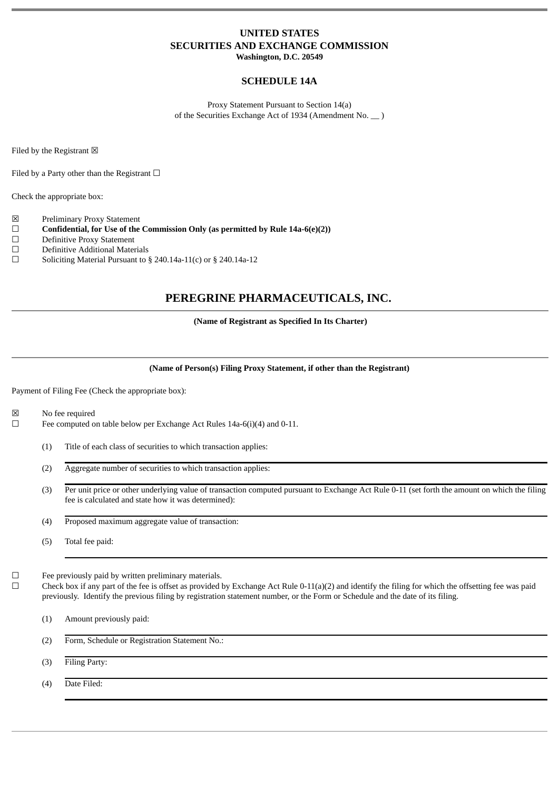# **UNITED STATES SECURITIES AND EXCHANGE COMMISSION**

**Washington, D.C. 20549**

# **SCHEDULE 14A**

Proxy Statement Pursuant to Section 14(a) of the Securities Exchange Act of 1934 (Amendment No. \_\_ )

Filed by the Registrant  $\boxtimes$ 

Filed by a Party other than the Registrant  $\Box$ 

Check the appropriate box:

- ☒ Preliminary Proxy Statement
- ☐ **Confidential, for Use of the Commission Only (as permitted by Rule 14a-6(e)(2))**
- ☐ Definitive Proxy Statement
- □ Definitive Additional Materials<br>□ Soliciting Material Pursuant to {
- Soliciting Material Pursuant to  $\S$  240.14a-11(c) or  $\S$  240.14a-12

# **PEREGRINE PHARMACEUTICALS, INC.**

#### **(Name of Registrant as Specified In Its Charter)**

## **(Name of Person(s) Filing Proxy Statement, if other than the Registrant)**

Payment of Filing Fee (Check the appropriate box):

- ☒ No fee required
- ☐ Fee computed on table below per Exchange Act Rules 14a-6(i)(4) and 0-11.
	- (1) Title of each class of securities to which transaction applies:
	- (2) Aggregate number of securities to which transaction applies:
	- (3) Per unit price or other underlying value of transaction computed pursuant to Exchange Act Rule 0-11 (set forth the amount on which the filing fee is calculated and state how it was determined):
	- (4) Proposed maximum aggregate value of transaction:
	- (5) Total fee paid:

 $\Box$  Fee previously paid by written preliminary materials.<br> $\Box$  Check box if any part of the fee is offset as provided by

Check box if any part of the fee is offset as provided by Exchange Act Rule 0-11(a)(2) and identify the filing for which the offsetting fee was paid previously. Identify the previous filing by registration statement number, or the Form or Schedule and the date of its filing.

(1) Amount previously paid:

(2) Form, Schedule or Registration Statement No.:

(3) Filing Party:

(4) Date Filed: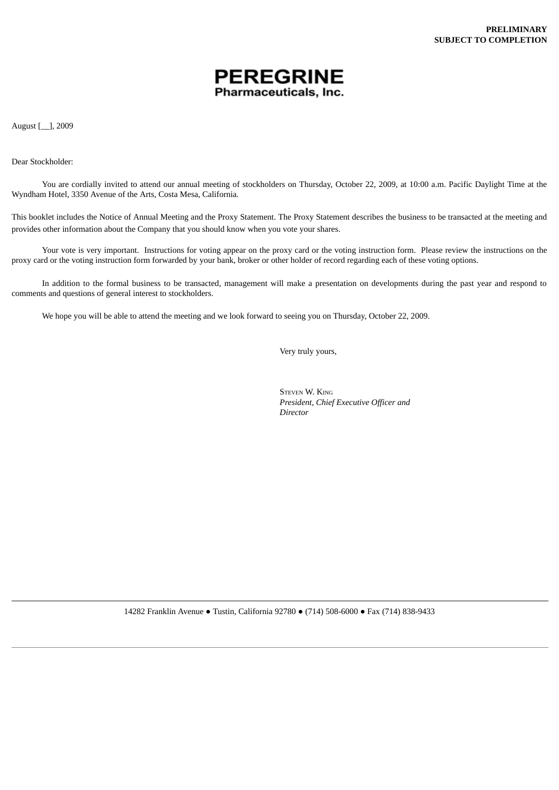

August [\_\_], 2009

Dear Stockholder:

You are cordially invited to attend our annual meeting of stockholders on Thursday, October 22, 2009, at 10:00 a.m. Pacific Daylight Time at the Wyndham Hotel, 3350 Avenue of the Arts, Costa Mesa, California.

This booklet includes the Notice of Annual Meeting and the Proxy Statement. The Proxy Statement describes the business to be transacted at the meeting and provides other information about the Company that you should know when you vote your shares.

Your vote is very important. Instructions for voting appear on the proxy card or the voting instruction form. Please review the instructions on the proxy card or the voting instruction form forwarded by your bank, broker or other holder of record regarding each of these voting options.

In addition to the formal business to be transacted, management will make a presentation on developments during the past year and respond to comments and questions of general interest to stockholders.

We hope you will be able to attend the meeting and we look forward to seeing you on Thursday, October 22, 2009.

Very truly yours,

STEVEN W. KING *President, Chief Executive Officer and Director*

14282 Franklin Avenue ● Tustin, California 92780 ● (714) 508-6000 ● Fax (714) 838-9433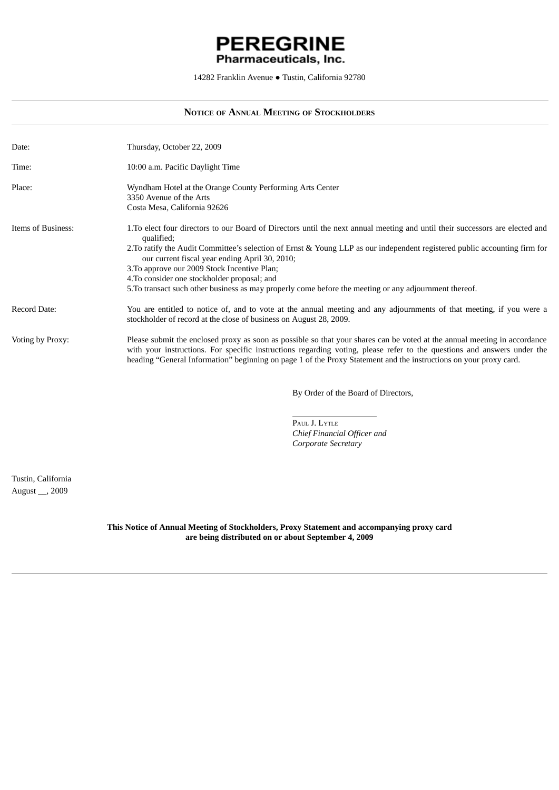# **PEREGRINE** Pharmaceuticals, Inc.

14282 Franklin Avenue ● Tustin, California 92780

# **NOTICE OF ANNUAL MEETING OF STOCKHOLDERS**

| Date:              | Thursday, October 22, 2009                                                                                                                                                                                                                                                                                                                                                                                                                                                                                                            |
|--------------------|---------------------------------------------------------------------------------------------------------------------------------------------------------------------------------------------------------------------------------------------------------------------------------------------------------------------------------------------------------------------------------------------------------------------------------------------------------------------------------------------------------------------------------------|
| Time:              | 10:00 a.m. Pacific Daylight Time                                                                                                                                                                                                                                                                                                                                                                                                                                                                                                      |
| Place:             | Wyndham Hotel at the Orange County Performing Arts Center<br>3350 Avenue of the Arts<br>Costa Mesa, California 92626                                                                                                                                                                                                                                                                                                                                                                                                                  |
| Items of Business: | 1. To elect four directors to our Board of Directors until the next annual meeting and until their successors are elected and<br>qualified;<br>2. To ratify the Audit Committee's selection of Ernst & Young LLP as our independent registered public accounting firm for<br>our current fiscal year ending April 30, 2010;<br>3. To approve our 2009 Stock Incentive Plan;<br>4. To consider one stockholder proposal; and<br>5. To transact such other business as may properly come before the meeting or any adjournment thereof. |
| Record Date:       | You are entitled to notice of, and to vote at the annual meeting and any adjournments of that meeting, if you were a<br>stockholder of record at the close of business on August 28, 2009.                                                                                                                                                                                                                                                                                                                                            |
| Voting by Proxy:   | Please submit the enclosed proxy as soon as possible so that your shares can be voted at the annual meeting in accordance<br>with your instructions. For specific instructions regarding voting, please refer to the questions and answers under the<br>heading "General Information" beginning on page 1 of the Proxy Statement and the instructions on your proxy card.                                                                                                                                                             |

By Order of the Board of Directors,

PAUL J. LYTLE *Chief Financial Officer and Corporate Secretary*

Tustin, California August \_\_, 2009

> **This Notice of Annual Meeting of Stockholders, Proxy Statement and accompanying proxy card are being distributed on or about September 4, 2009**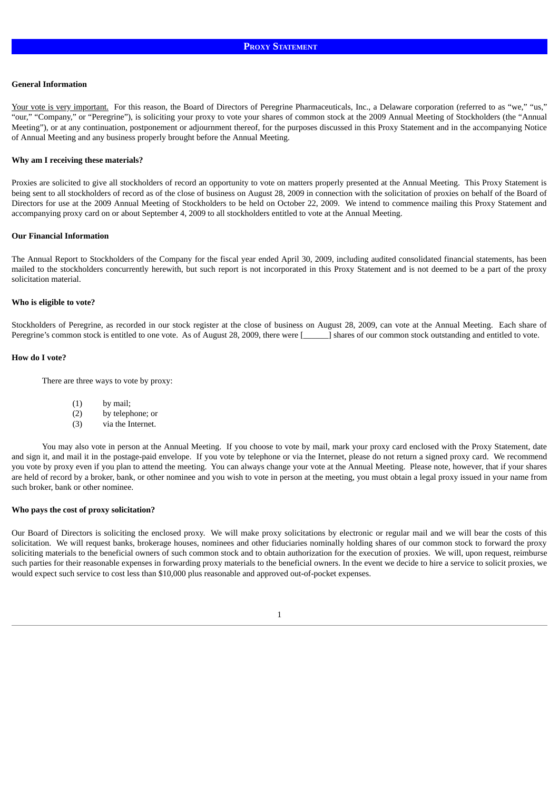#### **General Information**

Your vote is very important. For this reason, the Board of Directors of Peregrine Pharmaceuticals, Inc., a Delaware corporation (referred to as "we," "us," "our," "Company," or "Peregrine"), is soliciting your proxy to vote your shares of common stock at the 2009 Annual Meeting of Stockholders (the "Annual Meeting"), or at any continuation, postponement or adjournment thereof, for the purposes discussed in this Proxy Statement and in the accompanying Notice of Annual Meeting and any business properly brought before the Annual Meeting.

#### **Why am I receiving these materials?**

Proxies are solicited to give all stockholders of record an opportunity to vote on matters properly presented at the Annual Meeting. This Proxy Statement is being sent to all stockholders of record as of the close of business on August 28, 2009 in connection with the solicitation of proxies on behalf of the Board of Directors for use at the 2009 Annual Meeting of Stockholders to be held on October 22, 2009. We intend to commence mailing this Proxy Statement and accompanying proxy card on or about September 4, 2009 to all stockholders entitled to vote at the Annual Meeting.

#### **Our Financial Information**

The Annual Report to Stockholders of the Company for the fiscal year ended April 30, 2009, including audited consolidated financial statements, has been mailed to the stockholders concurrently herewith, but such report is not incorporated in this Proxy Statement and is not deemed to be a part of the proxy solicitation material.

#### **Who is eligible to vote?**

Stockholders of Peregrine, as recorded in our stock register at the close of business on August 28, 2009, can vote at the Annual Meeting. Each share of Peregrine's common stock is entitled to one vote. As of August 28, 2009, there were [1,45] shares of our common stock outstanding and entitled to vote.

#### **How do I vote?**

There are three ways to vote by proxy:

- (1) by mail;
- (2) by telephone; or
- (3) via the Internet.

You may also vote in person at the Annual Meeting. If you choose to vote by mail, mark your proxy card enclosed with the Proxy Statement, date and sign it, and mail it in the postage-paid envelope. If you vote by telephone or via the Internet, please do not return a signed proxy card. We recommend you vote by proxy even if you plan to attend the meeting. You can always change your vote at the Annual Meeting. Please note, however, that if your shares are held of record by a broker, bank, or other nominee and you wish to vote in person at the meeting, you must obtain a legal proxy issued in your name from such broker, bank or other nominee.

#### **Who pays the cost of proxy solicitation?**

Our Board of Directors is soliciting the enclosed proxy. We will make proxy solicitations by electronic or regular mail and we will bear the costs of this solicitation. We will request banks, brokerage houses, nominees and other fiduciaries nominally holding shares of our common stock to forward the proxy soliciting materials to the beneficial owners of such common stock and to obtain authorization for the execution of proxies. We will, upon request, reimburse such parties for their reasonable expenses in forwarding proxy materials to the beneficial owners. In the event we decide to hire a service to solicit proxies, we would expect such service to cost less than \$10,000 plus reasonable and approved out-of-pocket expenses.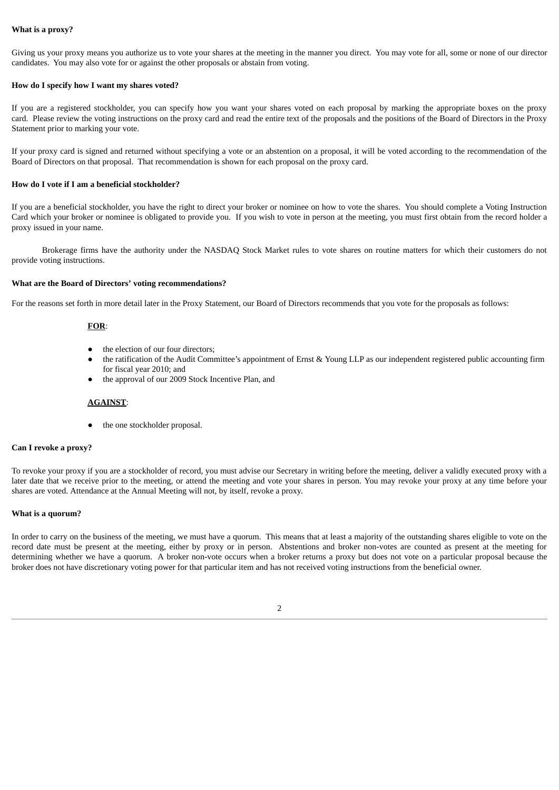### **What is a proxy?**

Giving us your proxy means you authorize us to vote your shares at the meeting in the manner you direct. You may vote for all, some or none of our director candidates. You may also vote for or against the other proposals or abstain from voting.

#### **How do I specify how I want my shares voted?**

If you are a registered stockholder, you can specify how you want your shares voted on each proposal by marking the appropriate boxes on the proxy card. Please review the voting instructions on the proxy card and read the entire text of the proposals and the positions of the Board of Directors in the Proxy Statement prior to marking your vote.

If your proxy card is signed and returned without specifying a vote or an abstention on a proposal, it will be voted according to the recommendation of the Board of Directors on that proposal. That recommendation is shown for each proposal on the proxy card.

#### **How do I vote if I am a beneficial stockholder?**

If you are a beneficial stockholder, you have the right to direct your broker or nominee on how to vote the shares. You should complete a Voting Instruction Card which your broker or nominee is obligated to provide you. If you wish to vote in person at the meeting, you must first obtain from the record holder a proxy issued in your name.

Brokerage firms have the authority under the NASDAQ Stock Market rules to vote shares on routine matters for which their customers do not provide voting instructions.

#### **What are the Board of Directors' voting recommendations?**

For the reasons set forth in more detail later in the Proxy Statement, our Board of Directors recommends that you vote for the proposals as follows:

#### **FOR**:

- the election of our four directors;
- the ratification of the Audit Committee's appointment of Ernst & Young LLP as our independent registered public accounting firm for fiscal year 2010; and
- the approval of our 2009 Stock Incentive Plan, and

#### **AGAINST**:

the one stockholder proposal.

## **Can I revoke a proxy?**

To revoke your proxy if you are a stockholder of record, you must advise our Secretary in writing before the meeting, deliver a validly executed proxy with a later date that we receive prior to the meeting, or attend the meeting and vote your shares in person. You may revoke your proxy at any time before your shares are voted. Attendance at the Annual Meeting will not, by itself, revoke a proxy.

#### **What is a quorum?**

In order to carry on the business of the meeting, we must have a quorum. This means that at least a majority of the outstanding shares eligible to vote on the record date must be present at the meeting, either by proxy or in person. Abstentions and broker non-votes are counted as present at the meeting for determining whether we have a quorum. A broker non-vote occurs when a broker returns a proxy but does not vote on a particular proposal because the broker does not have discretionary voting power for that particular item and has not received voting instructions from the beneficial owner.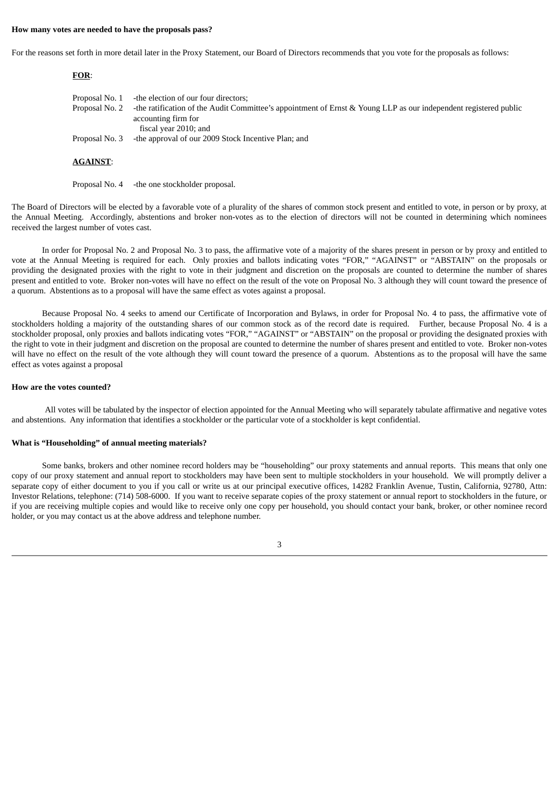#### **How many votes are needed to have the proposals pass?**

For the reasons set forth in more detail later in the Proxy Statement, our Board of Directors recommends that you vote for the proposals as follows:

| FOR:            |                                                                                                                                                                  |
|-----------------|------------------------------------------------------------------------------------------------------------------------------------------------------------------|
| Proposal No. 1  | -the election of our four directors;                                                                                                                             |
| Proposal No. 2  | -the ratification of the Audit Committee's appointment of Ernst & Young LLP as our independent registered public<br>accounting firm for<br>fiscal year 2010; and |
| Proposal No. 3  | -the approval of our 2009 Stock Incentive Plan; and                                                                                                              |
| <b>AGAINST:</b> |                                                                                                                                                                  |

Proposal No. 4 -the one stockholder proposal.

The Board of Directors will be elected by a favorable vote of a plurality of the shares of common stock present and entitled to vote, in person or by proxy, at the Annual Meeting. Accordingly, abstentions and broker non-votes as to the election of directors will not be counted in determining which nominees received the largest number of votes cast.

In order for Proposal No. 2 and Proposal No. 3 to pass, the affirmative vote of a majority of the shares present in person or by proxy and entitled to vote at the Annual Meeting is required for each. Only proxies and ballots indicating votes "FOR," "AGAINST" or "ABSTAIN" on the proposals or providing the designated proxies with the right to vote in their judgment and discretion on the proposals are counted to determine the number of shares present and entitled to vote. Broker non-votes will have no effect on the result of the vote on Proposal No. 3 although they will count toward the presence of a quorum. Abstentions as to a proposal will have the same effect as votes against a proposal.

Because Proposal No. 4 seeks to amend our Certificate of Incorporation and Bylaws, in order for Proposal No. 4 to pass, the affirmative vote of stockholders holding a majority of the outstanding shares of our common stock as of the record date is required. Further, because Proposal No. 4 is a stockholder proposal, only proxies and ballots indicating votes "FOR," "AGAINST" or "ABSTAIN" on the proposal or providing the designated proxies with the right to vote in their judgment and discretion on the proposal are counted to determine the number of shares present and entitled to vote. Broker non-votes will have no effect on the result of the vote although they will count toward the presence of a quorum. Abstentions as to the proposal will have the same effect as votes against a proposal

#### **How are the votes counted?**

All votes will be tabulated by the inspector of election appointed for the Annual Meeting who will separately tabulate affirmative and negative votes and abstentions. Any information that identifies a stockholder or the particular vote of a stockholder is kept confidential.

#### **What is "Householding" of annual meeting materials?**

Some banks, brokers and other nominee record holders may be "householding" our proxy statements and annual reports. This means that only one copy of our proxy statement and annual report to stockholders may have been sent to multiple stockholders in your household. We will promptly deliver a separate copy of either document to you if you call or write us at our principal executive offices, 14282 Franklin Avenue, Tustin, California, 92780, Attn: Investor Relations, telephone: (714) 508-6000. If you want to receive separate copies of the proxy statement or annual report to stockholders in the future, or if you are receiving multiple copies and would like to receive only one copy per household, you should contact your bank, broker, or other nominee record holder, or you may contact us at the above address and telephone number.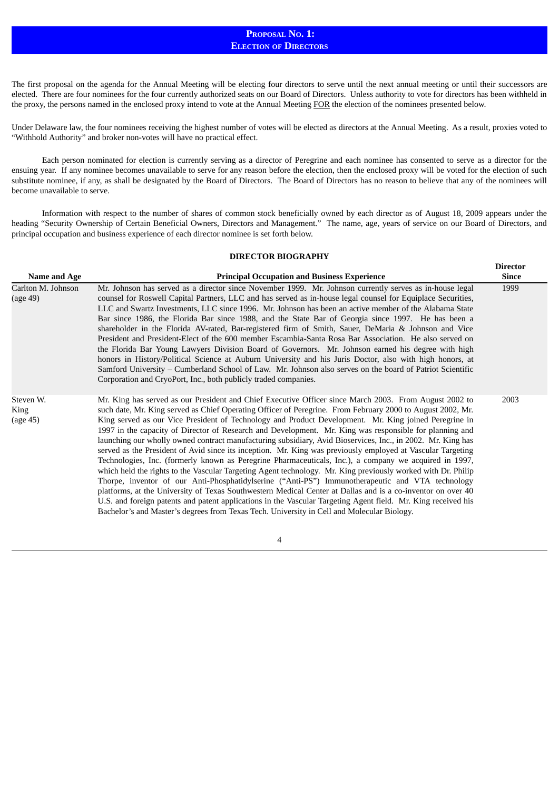# **PROPOSAL NO. 1: ELECTION OF DIRECTORS**

The first proposal on the agenda for the Annual Meeting will be electing four directors to serve until the next annual meeting or until their successors are elected. There are four nominees for the four currently authorized seats on our Board of Directors. Unless authority to vote for directors has been withheld in the proxy, the persons named in the enclosed proxy intend to vote at the Annual Meeting FOR the election of the nominees presented below.

Under Delaware law, the four nominees receiving the highest number of votes will be elected as directors at the Annual Meeting. As a result, proxies voted to "Withhold Authority" and broker non-votes will have no practical effect.

Each person nominated for election is currently serving as a director of Peregrine and each nominee has consented to serve as a director for the ensuing year. If any nominee becomes unavailable to serve for any reason before the election, then the enclosed proxy will be voted for the election of such substitute nominee, if any, as shall be designated by the Board of Directors. The Board of Directors has no reason to believe that any of the nominees will become unavailable to serve.

Information with respect to the number of shares of common stock beneficially owned by each director as of August 18, 2009 appears under the heading "Security Ownership of Certain Beneficial Owners, Directors and Management." The name, age, years of service on our Board of Directors, and principal occupation and business experience of each director nominee is set forth below.

## **DIRECTOR BIOGRAPHY**

|                                |                                                                                                                                                                                                                                                                                                                                                                                                                                                                                                                                                                                                                                                                                                                                                                                                                                                                                                                                                                                                                                                                                                                                                                                                                                                                                                                                    | <b>Director</b> |
|--------------------------------|------------------------------------------------------------------------------------------------------------------------------------------------------------------------------------------------------------------------------------------------------------------------------------------------------------------------------------------------------------------------------------------------------------------------------------------------------------------------------------------------------------------------------------------------------------------------------------------------------------------------------------------------------------------------------------------------------------------------------------------------------------------------------------------------------------------------------------------------------------------------------------------------------------------------------------------------------------------------------------------------------------------------------------------------------------------------------------------------------------------------------------------------------------------------------------------------------------------------------------------------------------------------------------------------------------------------------------|-----------------|
| Name and Age                   | <b>Principal Occupation and Business Experience</b>                                                                                                                                                                                                                                                                                                                                                                                                                                                                                                                                                                                                                                                                                                                                                                                                                                                                                                                                                                                                                                                                                                                                                                                                                                                                                | <b>Since</b>    |
| Carlton M. Johnson<br>(age 49) | Mr. Johnson has served as a director since November 1999. Mr. Johnson currently serves as in-house legal<br>counsel for Roswell Capital Partners, LLC and has served as in-house legal counsel for Equiplace Securities,<br>LLC and Swartz Investments, LLC since 1996. Mr. Johnson has been an active member of the Alabama State<br>Bar since 1986, the Florida Bar since 1988, and the State Bar of Georgia since 1997. He has been a<br>shareholder in the Florida AV-rated, Bar-registered firm of Smith, Sauer, DeMaria & Johnson and Vice<br>President and President-Elect of the 600 member Escambia-Santa Rosa Bar Association. He also served on<br>the Florida Bar Young Lawyers Division Board of Governors. Mr. Johnson earned his degree with high<br>honors in History/Political Science at Auburn University and his Juris Doctor, also with high honors, at<br>Samford University – Cumberland School of Law. Mr. Johnson also serves on the board of Patriot Scientific<br>Corporation and CryoPort, Inc., both publicly traded companies.                                                                                                                                                                                                                                                                       | 1999            |
| Steven W.<br>King<br>(age 45)  | Mr. King has served as our President and Chief Executive Officer since March 2003. From August 2002 to<br>such date, Mr. King served as Chief Operating Officer of Peregrine. From February 2000 to August 2002, Mr.<br>King served as our Vice President of Technology and Product Development. Mr. King joined Peregrine in<br>1997 in the capacity of Director of Research and Development. Mr. King was responsible for planning and<br>launching our wholly owned contract manufacturing subsidiary, Avid Bioservices, Inc., in 2002. Mr. King has<br>served as the President of Avid since its inception. Mr. King was previously employed at Vascular Targeting<br>Technologies, Inc. (formerly known as Peregrine Pharmaceuticals, Inc.), a company we acquired in 1997,<br>which held the rights to the Vascular Targeting Agent technology. Mr. King previously worked with Dr. Philip<br>Thorpe, inventor of our Anti-Phosphatidylserine ("Anti-PS") Immunotherapeutic and VTA technology<br>platforms, at the University of Texas Southwestern Medical Center at Dallas and is a co-inventor on over 40<br>U.S. and foreign patents and patent applications in the Vascular Targeting Agent field. Mr. King received his<br>Bachelor's and Master's degrees from Texas Tech. University in Cell and Molecular Biology. | 2003            |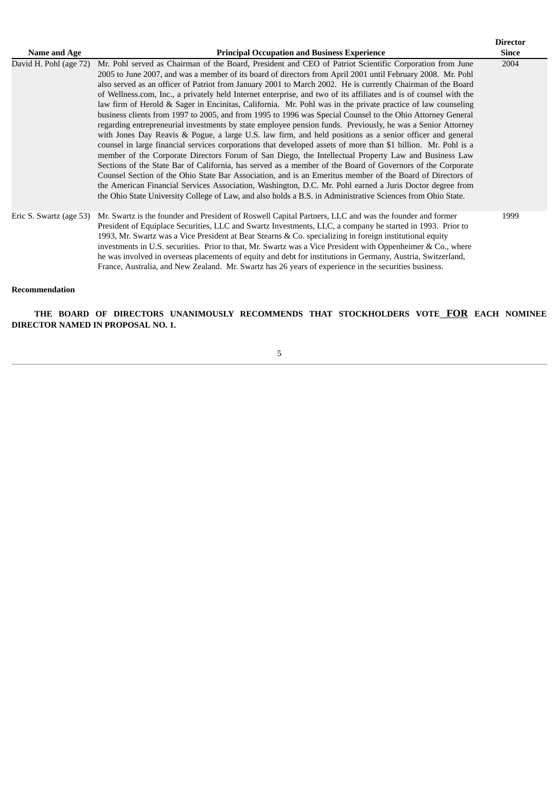| Name and Age            | <b>Principal Occupation and Business Experience</b>                                                                                                                                                                                                                                                                                                                                                                                                                                                                                                                                                                                                                                                                                                                                                                                                                                                                                                                                                                                                                                                                                                                                                                                                                                                                                                                                                                                                                                                                                                                                                | <b>Director</b><br><b>Since</b> |
|-------------------------|----------------------------------------------------------------------------------------------------------------------------------------------------------------------------------------------------------------------------------------------------------------------------------------------------------------------------------------------------------------------------------------------------------------------------------------------------------------------------------------------------------------------------------------------------------------------------------------------------------------------------------------------------------------------------------------------------------------------------------------------------------------------------------------------------------------------------------------------------------------------------------------------------------------------------------------------------------------------------------------------------------------------------------------------------------------------------------------------------------------------------------------------------------------------------------------------------------------------------------------------------------------------------------------------------------------------------------------------------------------------------------------------------------------------------------------------------------------------------------------------------------------------------------------------------------------------------------------------------|---------------------------------|
| David H. Pohl (age 72)  | Mr. Pohl served as Chairman of the Board, President and CEO of Patriot Scientific Corporation from June<br>2005 to June 2007, and was a member of its board of directors from April 2001 until February 2008. Mr. Pohl<br>also served as an officer of Patriot from January 2001 to March 2002. He is currently Chairman of the Board<br>of Wellness.com, Inc., a privately held Internet enterprise, and two of its affiliates and is of counsel with the<br>law firm of Herold & Sager in Encinitas, California. Mr. Pohl was in the private practice of law counseling<br>business clients from 1997 to 2005, and from 1995 to 1996 was Special Counsel to the Ohio Attorney General<br>regarding entrepreneurial investments by state employee pension funds. Previously, he was a Senior Attorney<br>with Jones Day Reavis & Pogue, a large U.S. law firm, and held positions as a senior officer and general<br>counsel in large financial services corporations that developed assets of more than \$1 billion. Mr. Pohl is a<br>member of the Corporate Directors Forum of San Diego, the Intellectual Property Law and Business Law<br>Sections of the State Bar of California, has served as a member of the Board of Governors of the Corporate<br>Counsel Section of the Ohio State Bar Association, and is an Emeritus member of the Board of Directors of<br>the American Financial Services Association, Washington, D.C. Mr. Pohl earned a Juris Doctor degree from<br>the Ohio State University College of Law, and also holds a B.S. in Administrative Sciences from Ohio State. | 2004                            |
| Eric S. Swartz (age 53) | Mr. Swartz is the founder and President of Roswell Capital Partners, LLC and was the founder and former<br>President of Equiplace Securities, LLC and Swartz Investments, LLC, a company he started in 1993. Prior to<br>1993, Mr. Swartz was a Vice President at Bear Stearns & Co. specializing in foreign institutional equity<br>investments in U.S. securities. Prior to that, Mr. Swartz was a Vice President with Oppenheimer & Co., where<br>he was involved in overseas placements of equity and debt for institutions in Germany, Austria, Switzerland,<br>France, Australia, and New Zealand. Mr. Swartz has 26 years of experience in the securities business.                                                                                                                                                                                                                                                                                                                                                                                                                                                                                                                                                                                                                                                                                                                                                                                                                                                                                                                         | 1999                            |

#### **Recommendation**

**THE BOARD OF DIRECTORS UNANIMOUSLY RECOMMENDS THAT STOCKHOLDERS VOTE FOR EACH NOMINEE DIRECTOR NAMED IN PROPOSAL NO. 1.**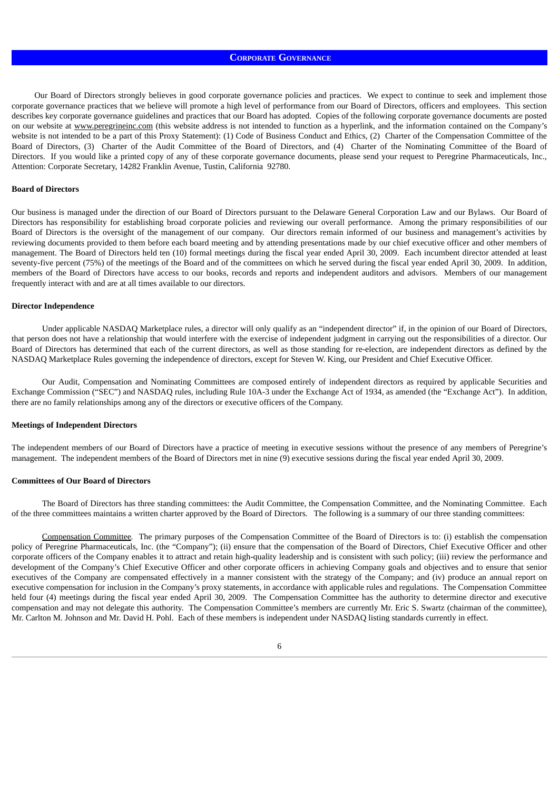# **CORPORATE GOVERNANCE**

Our Board of Directors strongly believes in good corporate governance policies and practices. We expect to continue to seek and implement those corporate governance practices that we believe will promote a high level of performance from our Board of Directors, officers and employees. This section describes key corporate governance guidelines and practices that our Board has adopted. Copies of the following corporate governance documents are posted on our website at www.peregrineinc.com (this website address is not intended to function as a hyperlink, and the information contained on the Company's website is not intended to be a part of this Proxy Statement): (1) Code of Business Conduct and Ethics, (2) Charter of the Compensation Committee of the Board of Directors, (3) Charter of the Audit Committee of the Board of Directors, and (4) Charter of the Nominating Committee of the Board of Directors. If you would like a printed copy of any of these corporate governance documents, please send your request to Peregrine Pharmaceuticals, Inc., Attention: Corporate Secretary, 14282 Franklin Avenue, Tustin, California 92780.

#### **Board of Directors**

Our business is managed under the direction of our Board of Directors pursuant to the Delaware General Corporation Law and our Bylaws. Our Board of Directors has responsibility for establishing broad corporate policies and reviewing our overall performance. Among the primary responsibilities of our Board of Directors is the oversight of the management of our company. Our directors remain informed of our business and management's activities by reviewing documents provided to them before each board meeting and by attending presentations made by our chief executive officer and other members of management. The Board of Directors held ten (10) formal meetings during the fiscal year ended April 30, 2009. Each incumbent director attended at least seventy-five percent (75%) of the meetings of the Board and of the committees on which he served during the fiscal year ended April 30, 2009. In addition, members of the Board of Directors have access to our books, records and reports and independent auditors and advisors. Members of our management frequently interact with and are at all times available to our directors.

#### **Director Independence**

Under applicable NASDAQ Marketplace rules, a director will only qualify as an "independent director" if, in the opinion of our Board of Directors, that person does not have a relationship that would interfere with the exercise of independent judgment in carrying out the responsibilities of a director. Our Board of Directors has determined that each of the current directors, as well as those standing for re-election, are independent directors as defined by the NASDAQ Marketplace Rules governing the independence of directors, except for Steven W. King, our President and Chief Executive Officer.

Our Audit, Compensation and Nominating Committees are composed entirely of independent directors as required by applicable Securities and Exchange Commission ("SEC") and NASDAQ rules, including Rule 10A-3 under the Exchange Act of 1934, as amended (the "Exchange Act"). In addition, there are no family relationships among any of the directors or executive officers of the Company.

#### **Meetings of Independent Directors**

The independent members of our Board of Directors have a practice of meeting in executive sessions without the presence of any members of Peregrine's management. The independent members of the Board of Directors met in nine (9) executive sessions during the fiscal year ended April 30, 2009.

#### **Committees of Our Board of Directors**

The Board of Directors has three standing committees: the Audit Committee, the Compensation Committee, and the Nominating Committee. Each of the three committees maintains a written charter approved by the Board of Directors. The following is a summary of our three standing committees:

Compensation Committee*.* The primary purposes of the Compensation Committee of the Board of Directors is to: (i) establish the compensation policy of Peregrine Pharmaceuticals, Inc. (the "Company"); (ii) ensure that the compensation of the Board of Directors, Chief Executive Officer and other corporate officers of the Company enables it to attract and retain high-quality leadership and is consistent with such policy; (iii) review the performance and development of the Company's Chief Executive Officer and other corporate officers in achieving Company goals and objectives and to ensure that senior executives of the Company are compensated effectively in a manner consistent with the strategy of the Company; and (iv) produce an annual report on executive compensation for inclusion in the Company's proxy statements, in accordance with applicable rules and regulations. The Compensation Committee held four (4) meetings during the fiscal year ended April 30, 2009. The Compensation Committee has the authority to determine director and executive compensation and may not delegate this authority. The Compensation Committee's members are currently Mr. Eric S. Swartz (chairman of the committee), Mr. Carlton M. Johnson and Mr. David H. Pohl. Each of these members is independent under NASDAQ listing standards currently in effect.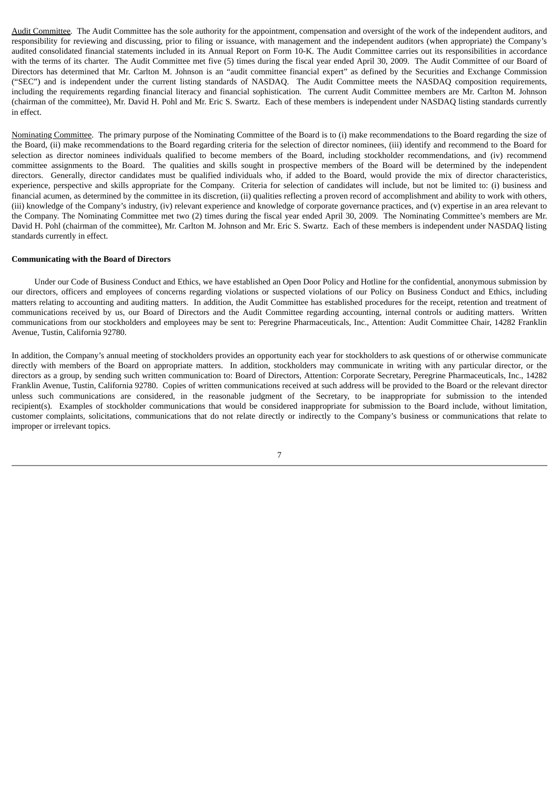Audit Committee*.* The Audit Committee has the sole authority for the appointment, compensation and oversight of the work of the independent auditors, and responsibility for reviewing and discussing, prior to filing or issuance, with management and the independent auditors (when appropriate) the Company's audited consolidated financial statements included in its Annual Report on Form 10-K. The Audit Committee carries out its responsibilities in accordance with the terms of its charter. The Audit Committee met five (5) times during the fiscal year ended April 30, 2009. The Audit Committee of our Board of Directors has determined that Mr. Carlton M. Johnson is an "audit committee financial expert" as defined by the Securities and Exchange Commission ("SEC") and is independent under the current listing standards of NASDAQ. The Audit Committee meets the NASDAQ composition requirements, including the requirements regarding financial literacy and financial sophistication. The current Audit Committee members are Mr. Carlton M. Johnson (chairman of the committee), Mr. David H. Pohl and Mr. Eric S. Swartz. Each of these members is independent under NASDAQ listing standards currently in effect.

Nominating Committee. The primary purpose of the Nominating Committee of the Board is to (i) make recommendations to the Board regarding the size of the Board, (ii) make recommendations to the Board regarding criteria for the selection of director nominees, (iii) identify and recommend to the Board for selection as director nominees individuals qualified to become members of the Board, including stockholder recommendations, and (iv) recommend committee assignments to the Board. The qualities and skills sought in prospective members of the Board will be determined by the independent directors. Generally, director candidates must be qualified individuals who, if added to the Board, would provide the mix of director characteristics, experience, perspective and skills appropriate for the Company. Criteria for selection of candidates will include, but not be limited to: (i) business and financial acumen, as determined by the committee in its discretion, (ii) qualities reflecting a proven record of accomplishment and ability to work with others, (iii) knowledge of the Company's industry, (iv) relevant experience and knowledge of corporate governance practices, and (v) expertise in an area relevant to the Company. The Nominating Committee met two (2) times during the fiscal year ended April 30, 2009. The Nominating Committee's members are Mr. David H. Pohl (chairman of the committee), Mr. Carlton M. Johnson and Mr. Eric S. Swartz. Each of these members is independent under NASDAQ listing standards currently in effect.

#### **Communicating with the Board of Directors**

Under our Code of Business Conduct and Ethics, we have established an Open Door Policy and Hotline for the confidential, anonymous submission by our directors, officers and employees of concerns regarding violations or suspected violations of our Policy on Business Conduct and Ethics, including matters relating to accounting and auditing matters. In addition, the Audit Committee has established procedures for the receipt, retention and treatment of communications received by us, our Board of Directors and the Audit Committee regarding accounting, internal controls or auditing matters. Written communications from our stockholders and employees may be sent to: Peregrine Pharmaceuticals, Inc., Attention: Audit Committee Chair, 14282 Franklin Avenue, Tustin, California 92780.

In addition, the Company's annual meeting of stockholders provides an opportunity each year for stockholders to ask questions of or otherwise communicate directly with members of the Board on appropriate matters. In addition, stockholders may communicate in writing with any particular director, or the directors as a group, by sending such written communication to: Board of Directors, Attention: Corporate Secretary, Peregrine Pharmaceuticals, Inc., 14282 Franklin Avenue, Tustin, California 92780. Copies of written communications received at such address will be provided to the Board or the relevant director unless such communications are considered, in the reasonable judgment of the Secretary, to be inappropriate for submission to the intended recipient(s). Examples of stockholder communications that would be considered inappropriate for submission to the Board include, without limitation, customer complaints, solicitations, communications that do not relate directly or indirectly to the Company's business or communications that relate to improper or irrelevant topics.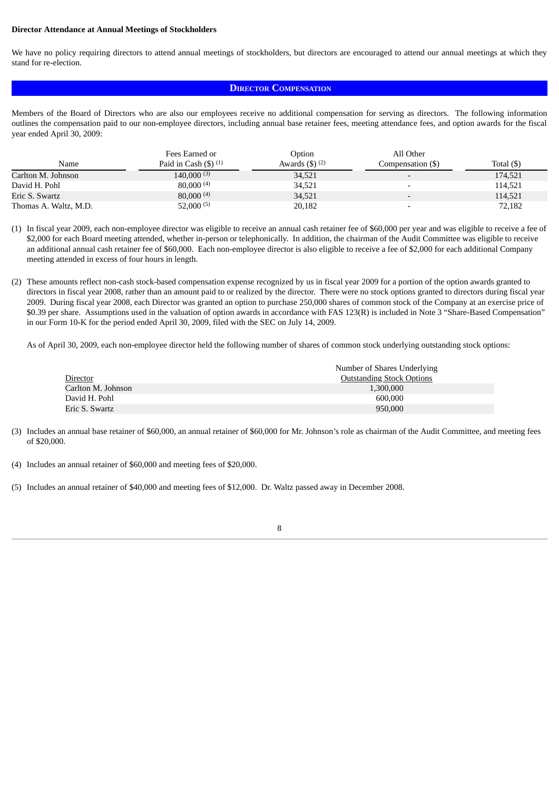#### **Director Attendance at Annual Meetings of Stockholders**

We have no policy requiring directors to attend annual meetings of stockholders, but directors are encouraged to attend our annual meetings at which they stand for re-election.

# **DIRECTOR COMPENSATION**

Members of the Board of Directors who are also our employees receive no additional compensation for serving as directors. The following information outlines the compensation paid to our non-employee directors, including annual base retainer fees, meeting attendance fees, and option awards for the fiscal year ended April 30, 2009:

|                       | Fees Earned or                              | Option             | All Other                |                  |
|-----------------------|---------------------------------------------|--------------------|--------------------------|------------------|
| Name                  | Paid in Cash $($ math) $($ <sup>1</sup> $)$ | Awards $(3)$ $(2)$ | Compensation (\$)        | Total $($ \$ $)$ |
| Carlton M. Johnson    | $140,000^{(3)}$                             | 34,521             |                          | 174,521          |
| David H. Pohl         | 80,000(4)                                   | 34,521             |                          | 114.521          |
| Eric S. Swartz        | $80,000^{(4)}$                              | 34,521             | $\overline{\phantom{a}}$ | 114,521          |
| Thomas A. Waltz, M.D. | $52,000^{(5)}$                              | 20,182             |                          | 72,182           |

(1) In fiscal year 2009, each non-employee director was eligible to receive an annual cash retainer fee of \$60,000 per year and was eligible to receive a fee of \$2,000 for each Board meeting attended, whether in-person or telephonically. In addition, the chairman of the Audit Committee was eligible to receive an additional annual cash retainer fee of \$60,000. Each non-employee director is also eligible to receive a fee of \$2,000 for each additional Company meeting attended in excess of four hours in length.

(2) These amounts reflect non-cash stock-based compensation expense recognized by us in fiscal year 2009 for a portion of the option awards granted to directors in fiscal year 2008, rather than an amount paid to or realized by the director. There were no stock options granted to directors during fiscal year 2009. During fiscal year 2008, each Director was granted an option to purchase 250,000 shares of common stock of the Company at an exercise price of \$0.39 per share. Assumptions used in the valuation of option awards in accordance with FAS 123(R) is included in Note 3 "Share-Based Compensation" in our Form 10-K for the period ended April 30, 2009, filed with the SEC on July 14, 2009.

As of April 30, 2009, each non-employee director held the following number of shares of common stock underlying outstanding stock options:

|                    | Number of Shares Underlying      |
|--------------------|----------------------------------|
| Director           | <b>Outstanding Stock Options</b> |
| Carlton M. Johnson | 1,300,000                        |
| David H. Pohl      | 600,000                          |
| Eric S. Swartz     | 950,000                          |

(3) Includes an annual base retainer of \$60,000, an annual retainer of \$60,000 for Mr. Johnson's role as chairman of the Audit Committee, and meeting fees of \$20,000.

- (4) Includes an annual retainer of \$60,000 and meeting fees of \$20,000.
- (5) Includes an annual retainer of \$40,000 and meeting fees of \$12,000. Dr. Waltz passed away in December 2008.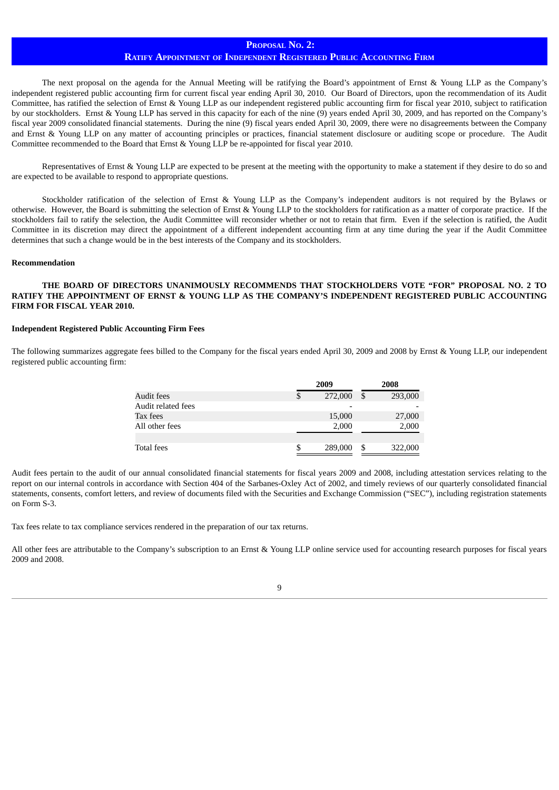## **PROPOSAL NO. 2:**

# **RATIFY APPOINTMENT OF INDEPENDENT REGISTERED PUBLIC ACCOUNTING FIRM**

The next proposal on the agenda for the Annual Meeting will be ratifying the Board's appointment of Ernst & Young LLP as the Company's independent registered public accounting firm for current fiscal year ending April 30, 2010. Our Board of Directors, upon the recommendation of its Audit Committee, has ratified the selection of Ernst & Young LLP as our independent registered public accounting firm for fiscal year 2010, subject to ratification by our stockholders. Ernst & Young LLP has served in this capacity for each of the nine (9) years ended April 30, 2009, and has reported on the Company's fiscal year 2009 consolidated financial statements. During the nine (9) fiscal years ended April 30, 2009, there were no disagreements between the Company and Ernst & Young LLP on any matter of accounting principles or practices, financial statement disclosure or auditing scope or procedure. The Audit Committee recommended to the Board that Ernst & Young LLP be re-appointed for fiscal year 2010.

Representatives of Ernst & Young LLP are expected to be present at the meeting with the opportunity to make a statement if they desire to do so and are expected to be available to respond to appropriate questions.

Stockholder ratification of the selection of Ernst & Young LLP as the Company's independent auditors is not required by the Bylaws or otherwise. However, the Board is submitting the selection of Ernst & Young LLP to the stockholders for ratification as a matter of corporate practice. If the stockholders fail to ratify the selection, the Audit Committee will reconsider whether or not to retain that firm. Even if the selection is ratified, the Audit Committee in its discretion may direct the appointment of a different independent accounting firm at any time during the year if the Audit Committee determines that such a change would be in the best interests of the Company and its stockholders.

#### **Recommendation**

# **THE BOARD OF DIRECTORS UNANIMOUSLY RECOMMENDS THAT STOCKHOLDERS VOTE "FOR" PROPOSAL NO. 2 TO RATIFY THE APPOINTMENT OF ERNST & YOUNG LLP AS THE COMPANY'S INDEPENDENT REGISTERED PUBLIC ACCOUNTING FIRM FOR FISCAL YEAR 2010.**

#### **Independent Registered Public Accounting Firm Fees**

The following summarizes aggregate fees billed to the Company for the fiscal years ended April 30, 2009 and 2008 by Ernst & Young LLP, our independent registered public accounting firm:

|                    |    | 2009    |    | 2008    |  |
|--------------------|----|---------|----|---------|--|
| Audit fees         | \$ | 272,000 | \$ | 293,000 |  |
| Audit related fees |    |         |    |         |  |
| Tax fees           |    | 15,000  |    | 27,000  |  |
| All other fees     |    | 2,000   |    | 2,000   |  |
|                    |    |         |    |         |  |
| Total fees         | S  | 289,000 | S  | 322,000 |  |

Audit fees pertain to the audit of our annual consolidated financial statements for fiscal years 2009 and 2008, including attestation services relating to the report on our internal controls in accordance with Section 404 of the Sarbanes-Oxley Act of 2002, and timely reviews of our quarterly consolidated financial statements, consents, comfort letters, and review of documents filed with the Securities and Exchange Commission ("SEC"), including registration statements on Form S-3.

Tax fees relate to tax compliance services rendered in the preparation of our tax returns.

All other fees are attributable to the Company's subscription to an Ernst & Young LLP online service used for accounting research purposes for fiscal years 2009 and 2008.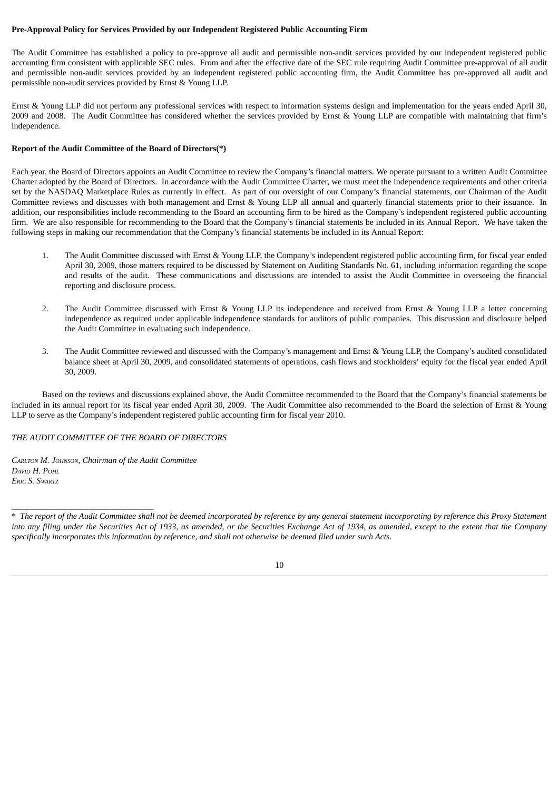## **Pre-Approval Policy for Services Provided by our Independent Registered Public Accounting Firm**

The Audit Committee has established a policy to pre-approve all audit and permissible non-audit services provided by our independent registered public accounting firm consistent with applicable SEC rules. From and after the effective date of the SEC rule requiring Audit Committee pre-approval of all audit and permissible non-audit services provided by an independent registered public accounting firm, the Audit Committee has pre-approved all audit and permissible non-audit services provided by Ernst & Young LLP.

Ernst & Young LLP did not perform any professional services with respect to information systems design and implementation for the years ended April 30, 2009 and 2008. The Audit Committee has considered whether the services provided by Ernst & Young LLP are compatible with maintaining that firm's independence.

# **Report of the Audit Committee of the Board of Directors(\*)**

Each year, the Board of Directors appoints an Audit Committee to review the Company's financial matters. We operate pursuant to a written Audit Committee Charter adopted by the Board of Directors. In accordance with the Audit Committee Charter, we must meet the independence requirements and other criteria set by the NASDAQ Marketplace Rules as currently in effect. As part of our oversight of our Company's financial statements, our Chairman of the Audit Committee reviews and discusses with both management and Ernst & Young LLP all annual and quarterly financial statements prior to their issuance. In addition, our responsibilities include recommending to the Board an accounting firm to be hired as the Company's independent registered public accounting firm. We are also responsible for recommending to the Board that the Company's financial statements be included in its Annual Report. We have taken the following steps in making our recommendation that the Company's financial statements be included in its Annual Report:

- 1. The Audit Committee discussed with Ernst & Young LLP, the Company's independent registered public accounting firm, for fiscal year ended April 30, 2009, those matters required to be discussed by Statement on Auditing Standards No. 61, including information regarding the scope and results of the audit. These communications and discussions are intended to assist the Audit Committee in overseeing the financial reporting and disclosure process.
- 2. The Audit Committee discussed with Ernst & Young LLP its independence and received from Ernst & Young LLP a letter concerning independence as required under applicable independence standards for auditors of public companies. This discussion and disclosure helped the Audit Committee in evaluating such independence.
- 3. The Audit Committee reviewed and discussed with the Company's management and Ernst & Young LLP, the Company's audited consolidated balance sheet at April 30, 2009, and consolidated statements of operations, cash flows and stockholders' equity for the fiscal year ended April 30, 2009.

Based on the reviews and discussions explained above, the Audit Committee recommended to the Board that the Company's financial statements be included in its annual report for its fiscal year ended April 30, 2009. The Audit Committee also recommended to the Board the selection of Ernst & Young LLP to serve as the Company's independent registered public accounting firm for fiscal year 2010.

## *THE AUDIT COMMITTEE OF THE BOARD OF DIRECTORS*

*CARLTON M. JOHNSON, Chairman of the Audit Committee DAVID H. POHL ERIC S. SWARTZ*

\_\_\_\_\_\_\_\_\_\_\_\_\_\_\_\_\_\_\_\_\_\_\_\_\_\_\_\_

<sup>\*</sup> The report of the Audit Committee shall not be deemed incorporated by reference by any general statement incorporating by reference this Proxy Statement into any filing under the Securities Act of 1933, as amended, or the Securities Exchange Act of 1934, as amended, except to the extent that the Company specifically incorporates this information by reference, and shall not otherwise be deemed filed under such Acts.

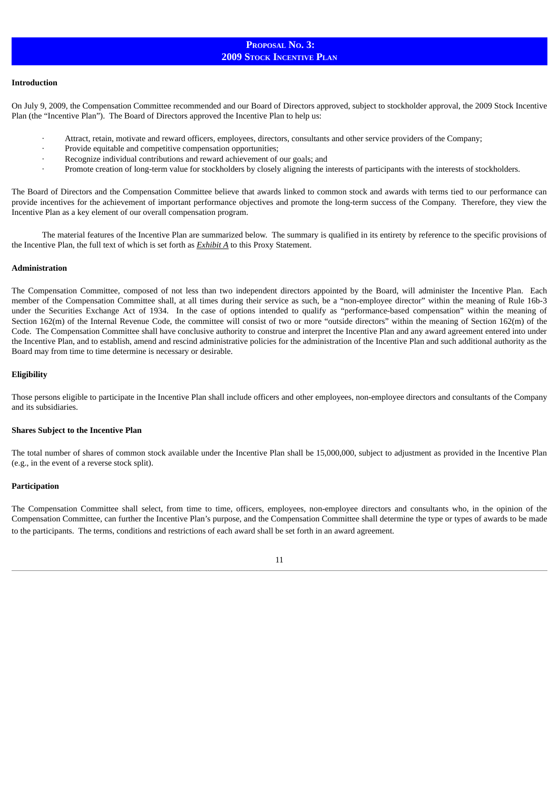# **PROPOSAL NO. 3: 2009 STOCK INCENTIVE PLAN**

#### **Introduction**

On July 9, 2009, the Compensation Committee recommended and our Board of Directors approved, subject to stockholder approval, the 2009 Stock Incentive Plan (the "Incentive Plan"). The Board of Directors approved the Incentive Plan to help us:

- Attract, retain, motivate and reward officers, employees, directors, consultants and other service providers of the Company;
- Provide equitable and competitive compensation opportunities;
- Recognize individual contributions and reward achievement of our goals; and
- · Promote creation of long-term value for stockholders by closely aligning the interests of participants with the interests of stockholders.

The Board of Directors and the Compensation Committee believe that awards linked to common stock and awards with terms tied to our performance can provide incentives for the achievement of important performance objectives and promote the long-term success of the Company. Therefore, they view the Incentive Plan as a key element of our overall compensation program.

The material features of the Incentive Plan are summarized below. The summary is qualified in its entirety by reference to the specific provisions of the Incentive Plan, the full text of which is set forth as *Exhibit A* to this Proxy Statement.

#### **Administration**

The Compensation Committee, composed of not less than two independent directors appointed by the Board, will administer the Incentive Plan. Each member of the Compensation Committee shall, at all times during their service as such, be a "non-employee director" within the meaning of Rule 16b-3 under the Securities Exchange Act of 1934. In the case of options intended to qualify as "performance-based compensation" within the meaning of Section 162(m) of the Internal Revenue Code, the committee will consist of two or more "outside directors" within the meaning of Section 162(m) of the Code. The Compensation Committee shall have conclusive authority to construe and interpret the Incentive Plan and any award agreement entered into under the Incentive Plan, and to establish, amend and rescind administrative policies for the administration of the Incentive Plan and such additional authority as the Board may from time to time determine is necessary or desirable.

#### **Eligibility**

Those persons eligible to participate in the Incentive Plan shall include officers and other employees, non-employee directors and consultants of the Company and its subsidiaries.

#### **Shares Subject to the Incentive Plan**

The total number of shares of common stock available under the Incentive Plan shall be 15,000,000, subject to adjustment as provided in the Incentive Plan (e.g., in the event of a reverse stock split).

#### **Participation**

The Compensation Committee shall select, from time to time, officers, employees, non-employee directors and consultants who, in the opinion of the Compensation Committee, can further the Incentive Plan's purpose, and the Compensation Committee shall determine the type or types of awards to be made to the participants. The terms, conditions and restrictions of each award shall be set forth in an award agreement.

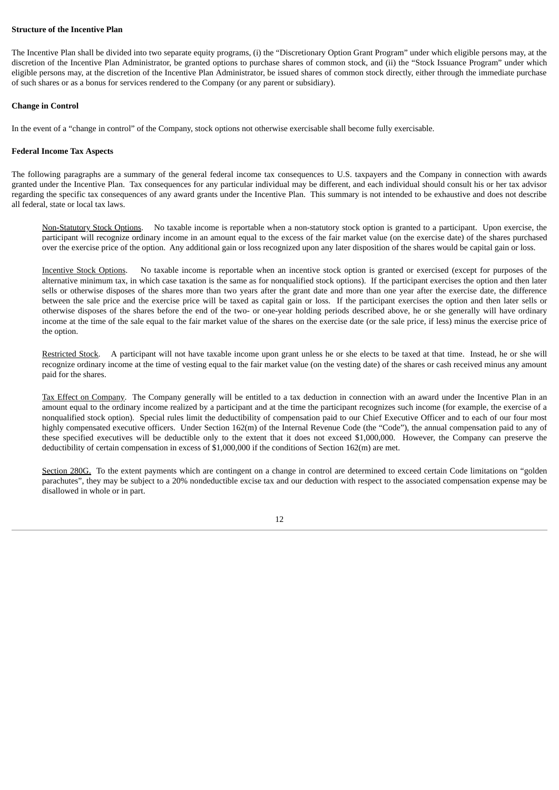#### **Structure of the Incentive Plan**

The Incentive Plan shall be divided into two separate equity programs, (i) the "Discretionary Option Grant Program" under which eligible persons may, at the discretion of the Incentive Plan Administrator, be granted options to purchase shares of common stock, and (ii) the "Stock Issuance Program" under which eligible persons may, at the discretion of the Incentive Plan Administrator, be issued shares of common stock directly, either through the immediate purchase of such shares or as a bonus for services rendered to the Company (or any parent or subsidiary).

#### **Change in Control**

In the event of a "change in control" of the Company, stock options not otherwise exercisable shall become fully exercisable.

#### **Federal Income Tax Aspects**

The following paragraphs are a summary of the general federal income tax consequences to U.S. taxpayers and the Company in connection with awards granted under the Incentive Plan. Tax consequences for any particular individual may be different, and each individual should consult his or her tax advisor regarding the specific tax consequences of any award grants under the Incentive Plan. This summary is not intended to be exhaustive and does not describe all federal, state or local tax laws.

Non-Statutory Stock Options. No taxable income is reportable when a non-statutory stock option is granted to a participant. Upon exercise, the participant will recognize ordinary income in an amount equal to the excess of the fair market value (on the exercise date) of the shares purchased over the exercise price of the option. Any additional gain or loss recognized upon any later disposition of the shares would be capital gain or loss.

Incentive Stock Options. No taxable income is reportable when an incentive stock option is granted or exercised (except for purposes of the alternative minimum tax, in which case taxation is the same as for nonqualified stock options). If the participant exercises the option and then later sells or otherwise disposes of the shares more than two years after the grant date and more than one year after the exercise date, the difference between the sale price and the exercise price will be taxed as capital gain or loss. If the participant exercises the option and then later sells or otherwise disposes of the shares before the end of the two- or one-year holding periods described above, he or she generally will have ordinary income at the time of the sale equal to the fair market value of the shares on the exercise date (or the sale price, if less) minus the exercise price of the option.

Restricted Stock. A participant will not have taxable income upon grant unless he or she elects to be taxed at that time. Instead, he or she will recognize ordinary income at the time of vesting equal to the fair market value (on the vesting date) of the shares or cash received minus any amount paid for the shares.

Tax Effect on Company. The Company generally will be entitled to a tax deduction in connection with an award under the Incentive Plan in an amount equal to the ordinary income realized by a participant and at the time the participant recognizes such income (for example, the exercise of a nonqualified stock option). Special rules limit the deductibility of compensation paid to our Chief Executive Officer and to each of our four most highly compensated executive officers. Under Section 162(m) of the Internal Revenue Code (the "Code"), the annual compensation paid to any of these specified executives will be deductible only to the extent that it does not exceed \$1,000,000. However, the Company can preserve the deductibility of certain compensation in excess of \$1,000,000 if the conditions of Section 162(m) are met.

Section 280G. To the extent payments which are contingent on a change in control are determined to exceed certain Code limitations on "golden parachutes", they may be subject to a 20% nondeductible excise tax and our deduction with respect to the associated compensation expense may be disallowed in whole or in part.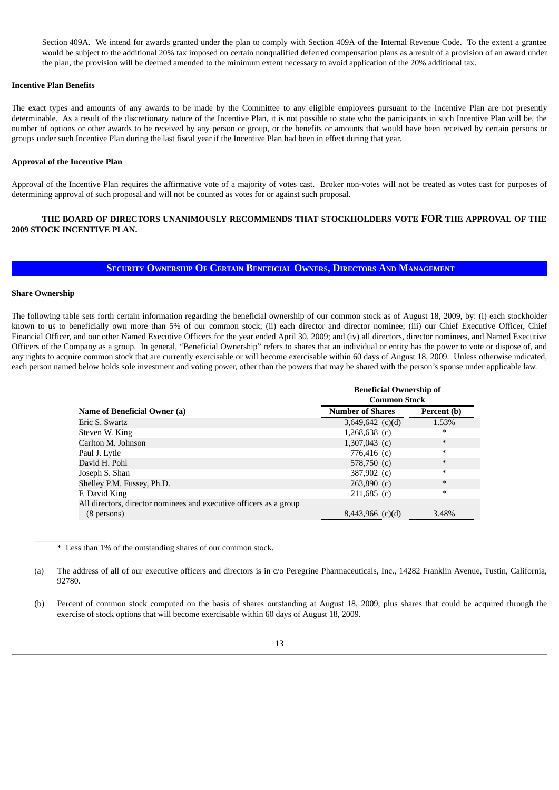Section 409A. We intend for awards granted under the plan to comply with Section 409A of the Internal Revenue Code. To the extent a grantee would be subject to the additional 20% tax imposed on certain nonqualified deferred compensation plans as a result of a provision of an award under the plan, the provision will be deemed amended to the minimum extent necessary to avoid application of the 20% additional tax.

### **Incentive Plan Benefits**

The exact types and amounts of any awards to be made by the Committee to any eligible employees pursuant to the Incentive Plan are not presently determinable. As a result of the discretionary nature of the Incentive Plan, it is not possible to state who the participants in such Incentive Plan will be, the number of options or other awards to be received by any person or group, or the benefits or amounts that would have been received by certain persons or groups under such Incentive Plan during the last fiscal year if the Incentive Plan had been in effect during that year.

#### **Approval of the Incentive Plan**

Approval of the Incentive Plan requires the affirmative vote of a majority of votes cast. Broker non-votes will not be treated as votes cast for purposes of determining approval of such proposal and will not be counted as votes for or against such proposal.

# **THE BOARD OF DIRECTORS UNANIMOUSLY RECOMMENDS THAT STOCKHOLDERS VOTE FOR THE APPROVAL OF THE 2009 STOCK INCENTIVE PLAN.**

# **SECURITY OWNERSHIP OF CERTAIN BENEFICIAL OWNERS, DIRECTORS AND MANAGEMENT**

# **Share Ownership**

\_\_\_\_\_\_\_\_\_\_\_\_\_\_\_\_\_

The following table sets forth certain information regarding the beneficial ownership of our common stock as of August 18, 2009, by: (i) each stockholder known to us to beneficially own more than 5% of our common stock; (ii) each director and director nominee; (iii) our Chief Executive Officer, Chief Financial Officer, and our other Named Executive Officers for the year ended April 30, 2009; and (iv) all directors, director nominees, and Named Executive Officers of the Company as a group. In general, "Beneficial Ownership" refers to shares that an individual or entity has the power to vote or dispose of, and any rights to acquire common stock that are currently exercisable or will become exercisable within 60 days of August 18, 2009. Unless otherwise indicated, each person named below holds sole investment and voting power, other than the powers that may be shared with the person's spouse under applicable law.

|                                                                    | <b>Beneficial Ownership of</b><br><b>Common Stock</b> |             |  |  |
|--------------------------------------------------------------------|-------------------------------------------------------|-------------|--|--|
| Name of Beneficial Owner (a)                                       | <b>Number of Shares</b>                               | Percent (b) |  |  |
| Eric S. Swartz                                                     | $3,649,642$ (c)(d)                                    | 1.53%       |  |  |
| Steven W. King                                                     | $1,268,638$ (c)                                       | $\ast$      |  |  |
| Carlton M. Johnson                                                 | $1,307,043$ (c)                                       | $\ast$      |  |  |
| Paul J. Lytle                                                      | 776,416 $(c)$                                         | $\ast$      |  |  |
| David H. Pohl                                                      | 578,750 $(c)$                                         | $\ast$      |  |  |
| Joseph S. Shan                                                     | 387,902 (c)                                           | $\ast$      |  |  |
| Shelley P.M. Fussey, Ph.D.                                         | $263,890$ (c)                                         | $\ast$      |  |  |
| F. David King                                                      | $211,685$ (c)                                         | $\ast$      |  |  |
| All directors, director nominees and executive officers as a group |                                                       |             |  |  |
| (8 persons)                                                        | $8,443,966$ (c)(d)                                    | 3.48%       |  |  |

\* Less than 1% of the outstanding shares of our common stock.

(a) The address of all of our executive officers and directors is in c/o Peregrine Pharmaceuticals, Inc., 14282 Franklin Avenue, Tustin, California, 92780.

(b) Percent of common stock computed on the basis of shares outstanding at August 18, 2009, plus shares that could be acquired through the exercise of stock options that will become exercisable within 60 days of August 18, 2009.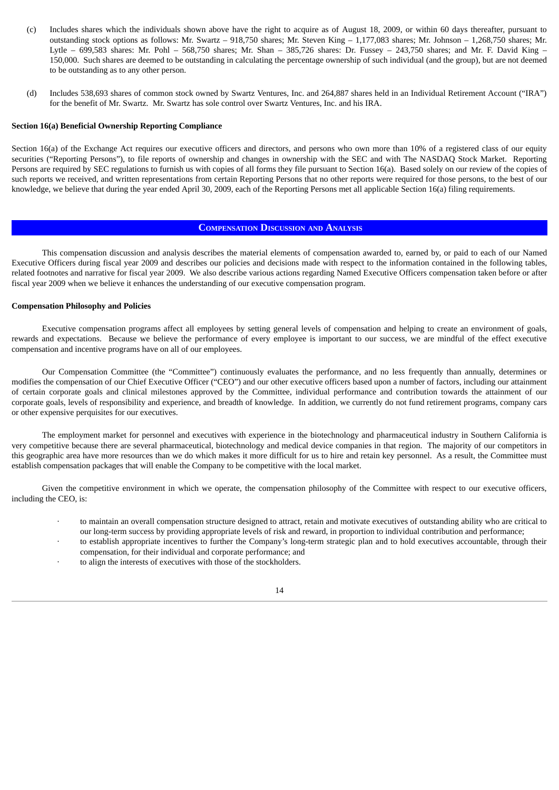- (c) Includes shares which the individuals shown above have the right to acquire as of August 18, 2009, or within 60 days thereafter, pursuant to outstanding stock options as follows: Mr. Swartz – 918,750 shares; Mr. Steven King – 1,177,083 shares; Mr. Johnson – 1,268,750 shares; Mr. Lytle – 699,583 shares: Mr. Pohl – 568,750 shares; Mr. Shan – 385,726 shares: Dr. Fussey – 243,750 shares; and Mr. F. David King – 150,000. Such shares are deemed to be outstanding in calculating the percentage ownership of such individual (and the group), but are not deemed to be outstanding as to any other person.
- (d) Includes 538,693 shares of common stock owned by Swartz Ventures, Inc. and 264,887 shares held in an Individual Retirement Account ("IRA") for the benefit of Mr. Swartz. Mr. Swartz has sole control over Swartz Ventures, Inc. and his IRA.

#### **Section 16(a) Beneficial Ownership Reporting Compliance**

Section 16(a) of the Exchange Act requires our executive officers and directors, and persons who own more than 10% of a registered class of our equity securities ("Reporting Persons"), to file reports of ownership and changes in ownership with the SEC and with The NASDAQ Stock Market. Reporting Persons are required by SEC regulations to furnish us with copies of all forms they file pursuant to Section 16(a). Based solely on our review of the copies of such reports we received, and written representations from certain Reporting Persons that no other reports were required for those persons, to the best of our knowledge, we believe that during the year ended April 30, 2009, each of the Reporting Persons met all applicable Section 16(a) filing requirements.

#### **COMPENSATION DISCUSSION AND ANALYSIS**

This compensation discussion and analysis describes the material elements of compensation awarded to, earned by, or paid to each of our Named Executive Officers during fiscal year 2009 and describes our policies and decisions made with respect to the information contained in the following tables, related footnotes and narrative for fiscal year 2009. We also describe various actions regarding Named Executive Officers compensation taken before or after fiscal year 2009 when we believe it enhances the understanding of our executive compensation program.

#### **Compensation Philosophy and Policies**

Executive compensation programs affect all employees by setting general levels of compensation and helping to create an environment of goals, rewards and expectations. Because we believe the performance of every employee is important to our success, we are mindful of the effect executive compensation and incentive programs have on all of our employees.

Our Compensation Committee (the "Committee") continuously evaluates the performance, and no less frequently than annually, determines or modifies the compensation of our Chief Executive Officer ("CEO") and our other executive officers based upon a number of factors, including our attainment of certain corporate goals and clinical milestones approved by the Committee, individual performance and contribution towards the attainment of our corporate goals, levels of responsibility and experience, and breadth of knowledge. In addition, we currently do not fund retirement programs, company cars or other expensive perquisites for our executives.

The employment market for personnel and executives with experience in the biotechnology and pharmaceutical industry in Southern California is very competitive because there are several pharmaceutical, biotechnology and medical device companies in that region. The majority of our competitors in this geographic area have more resources than we do which makes it more difficult for us to hire and retain key personnel. As a result, the Committee must establish compensation packages that will enable the Company to be competitive with the local market.

Given the competitive environment in which we operate, the compensation philosophy of the Committee with respect to our executive officers, including the CEO, is:

- · to maintain an overall compensation structure designed to attract, retain and motivate executives of outstanding ability who are critical to our long-term success by providing appropriate levels of risk and reward, in proportion to individual contribution and performance;
- to establish appropriate incentives to further the Company's long-term strategic plan and to hold executives accountable, through their compensation, for their individual and corporate performance; and
- to align the interests of executives with those of the stockholders.

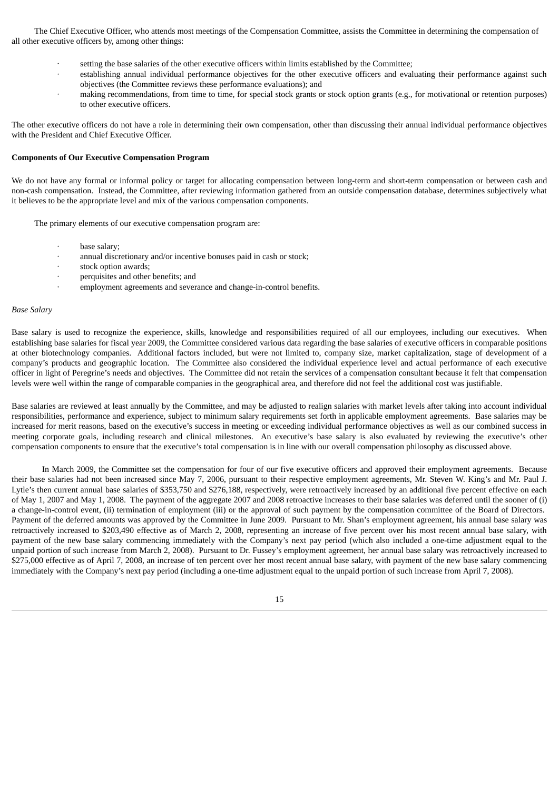The Chief Executive Officer, who attends most meetings of the Compensation Committee, assists the Committee in determining the compensation of all other executive officers by, among other things:

- · setting the base salaries of the other executive officers within limits established by the Committee;
- establishing annual individual performance objectives for the other executive officers and evaluating their performance against such objectives (the Committee reviews these performance evaluations); and
- making recommendations, from time to time, for special stock grants or stock option grants (e.g., for motivational or retention purposes) to other executive officers.

The other executive officers do not have a role in determining their own compensation, other than discussing their annual individual performance objectives with the President and Chief Executive Officer.

## **Components of Our Executive Compensation Program**

We do not have any formal or informal policy or target for allocating compensation between long-term and short-term compensation or between cash and non-cash compensation. Instead, the Committee, after reviewing information gathered from an outside compensation database, determines subjectively what it believes to be the appropriate level and mix of the various compensation components.

The primary elements of our executive compensation program are:

- base salary;
- annual discretionary and/or incentive bonuses paid in cash or stock;
- stock option awards;
- perquisites and other benefits; and
- employment agreements and severance and change-in-control benefits.

#### *Base Salary*

Base salary is used to recognize the experience, skills, knowledge and responsibilities required of all our employees, including our executives. When establishing base salaries for fiscal year 2009, the Committee considered various data regarding the base salaries of executive officers in comparable positions at other biotechnology companies. Additional factors included, but were not limited to, company size, market capitalization, stage of development of a company's products and geographic location. The Committee also considered the individual experience level and actual performance of each executive officer in light of Peregrine's needs and objectives. The Committee did not retain the services of a compensation consultant because it felt that compensation levels were well within the range of comparable companies in the geographical area, and therefore did not feel the additional cost was justifiable.

Base salaries are reviewed at least annually by the Committee, and may be adjusted to realign salaries with market levels after taking into account individual responsibilities, performance and experience, subject to minimum salary requirements set forth in applicable employment agreements. Base salaries may be increased for merit reasons, based on the executive's success in meeting or exceeding individual performance objectives as well as our combined success in meeting corporate goals, including research and clinical milestones. An executive's base salary is also evaluated by reviewing the executive's other compensation components to ensure that the executive's total compensation is in line with our overall compensation philosophy as discussed above.

In March 2009, the Committee set the compensation for four of our five executive officers and approved their employment agreements. Because their base salaries had not been increased since May 7, 2006, pursuant to their respective employment agreements, Mr. Steven W. King's and Mr. Paul J. Lytle's then current annual base salaries of \$353,750 and \$276,188, respectively, were retroactively increased by an additional five percent effective on each of May 1, 2007 and May 1, 2008. The payment of the aggregate 2007 and 2008 retroactive increases to their base salaries was deferred until the sooner of (i) a change-in-control event, (ii) termination of employment (iii) or the approval of such payment by the compensation committee of the Board of Directors. Payment of the deferred amounts was approved by the Committee in June 2009. Pursuant to Mr. Shan's employment agreement, his annual base salary was retroactively increased to \$203,490 effective as of March 2, 2008, representing an increase of five percent over his most recent annual base salary, with payment of the new base salary commencing immediately with the Company's next pay period (which also included a one-time adjustment equal to the unpaid portion of such increase from March 2, 2008). Pursuant to Dr. Fussey's employment agreement, her annual base salary was retroactively increased to \$275,000 effective as of April 7, 2008, an increase of ten percent over her most recent annual base salary, with payment of the new base salary commencing immediately with the Company's next pay period (including a one-time adjustment equal to the unpaid portion of such increase from April 7, 2008).

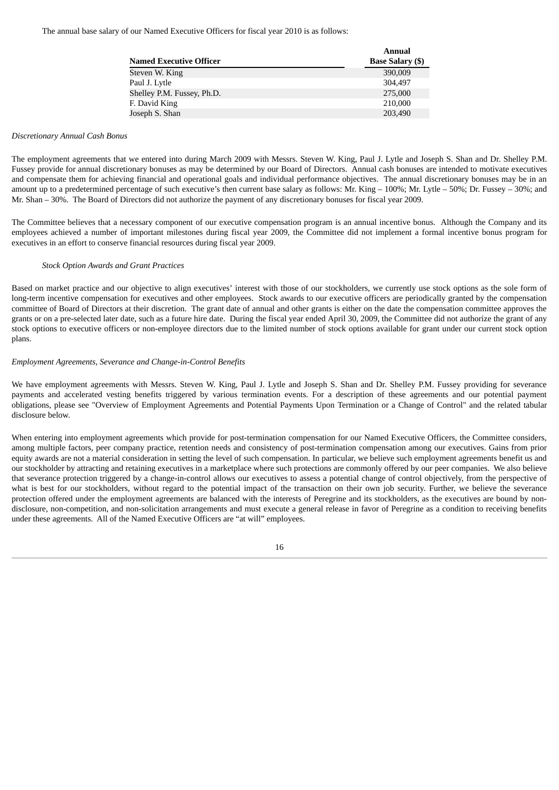The annual base salary of our Named Executive Officers for fiscal year 2010 is as follows:

|                                | <b>Annual</b>           |
|--------------------------------|-------------------------|
| <b>Named Executive Officer</b> | <b>Base Salary (\$)</b> |
| Steven W. King                 | 390,009                 |
| Paul J. Lytle                  | 304.497                 |
| Shelley P.M. Fussey, Ph.D.     | 275,000                 |
| F. David King                  | 210,000                 |
| Joseph S. Shan                 | 203,490                 |

#### *Discretionary Annual Cash Bonus*

The employment agreements that we entered into during March 2009 with Messrs. Steven W. King, Paul J. Lytle and Joseph S. Shan and Dr. Shelley P.M. Fussey provide for annual discretionary bonuses as may be determined by our Board of Directors. Annual cash bonuses are intended to motivate executives and compensate them for achieving financial and operational goals and individual performance objectives. The annual discretionary bonuses may be in an amount up to a predetermined percentage of such executive's then current base salary as follows: Mr. King – 100%; Mr. Lytle – 50%; Dr. Fussey – 30%; and Mr. Shan – 30%. The Board of Directors did not authorize the payment of any discretionary bonuses for fiscal year 2009.

The Committee believes that a necessary component of our executive compensation program is an annual incentive bonus. Although the Company and its employees achieved a number of important milestones during fiscal year 2009, the Committee did not implement a formal incentive bonus program for executives in an effort to conserve financial resources during fiscal year 2009.

## *Stock Option Awards and Grant Practices*

Based on market practice and our objective to align executives' interest with those of our stockholders, we currently use stock options as the sole form of long-term incentive compensation for executives and other employees. Stock awards to our executive officers are periodically granted by the compensation committee of Board of Directors at their discretion. The grant date of annual and other grants is either on the date the compensation committee approves the grants or on a pre-selected later date, such as a future hire date. During the fiscal year ended April 30, 2009, the Committee did not authorize the grant of any stock options to executive officers or non-employee directors due to the limited number of stock options available for grant under our current stock option plans.

#### *Employment Agreements, Severance and Change-in-Control Benefits*

We have employment agreements with Messrs. Steven W. King, Paul J. Lytle and Joseph S. Shan and Dr. Shelley P.M. Fussey providing for severance payments and accelerated vesting benefits triggered by various termination events. For a description of these agreements and our potential payment obligations, please see "Overview of Employment Agreements and Potential Payments Upon Termination or a Change of Control" and the related tabular disclosure below.

When entering into employment agreements which provide for post-termination compensation for our Named Executive Officers, the Committee considers, among multiple factors, peer company practice, retention needs and consistency of post-termination compensation among our executives. Gains from prior equity awards are not a material consideration in setting the level of such compensation. In particular, we believe such employment agreements benefit us and our stockholder by attracting and retaining executives in a marketplace where such protections are commonly offered by our peer companies. We also believe that severance protection triggered by a change-in-control allows our executives to assess a potential change of control objectively, from the perspective of what is best for our stockholders, without regard to the potential impact of the transaction on their own job security. Further, we believe the severance protection offered under the employment agreements are balanced with the interests of Peregrine and its stockholders, as the executives are bound by nondisclosure, non-competition, and non-solicitation arrangements and must execute a general release in favor of Peregrine as a condition to receiving benefits under these agreements. All of the Named Executive Officers are "at will" employees.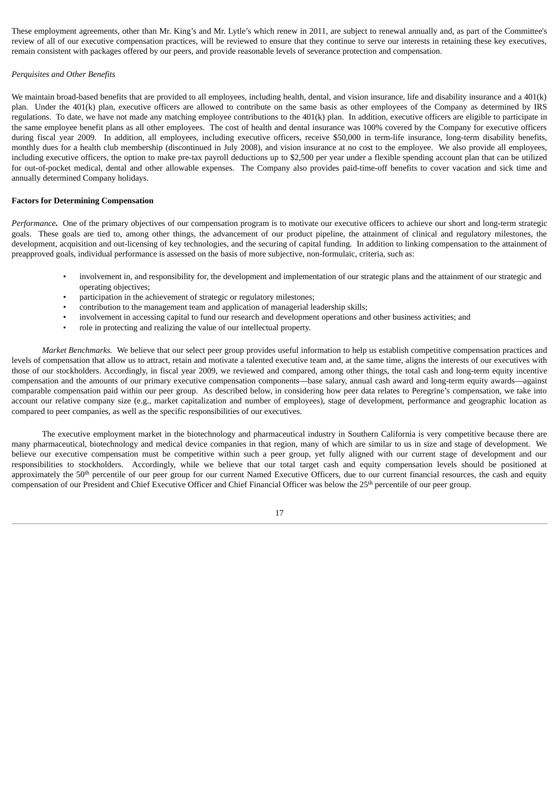These employment agreements, other than Mr. King's and Mr. Lytle's which renew in 2011, are subject to renewal annually and, as part of the Committee's review of all of our executive compensation practices, will be reviewed to ensure that they continue to serve our interests in retaining these key executives, remain consistent with packages offered by our peers, and provide reasonable levels of severance protection and compensation.

#### *Perquisites and Other Benefits*

We maintain broad-based benefits that are provided to all employees, including health, dental, and vision insurance, life and disability insurance and a 401(k) plan. Under the 401(k) plan, executive officers are allowed to contribute on the same basis as other employees of the Company as determined by IRS regulations. To date, we have not made any matching employee contributions to the 401(k) plan. In addition, executive officers are eligible to participate in the same employee benefit plans as all other employees. The cost of health and dental insurance was 100% covered by the Company for executive officers during fiscal year 2009. In addition, all employees, including executive officers, receive \$50,000 in term-life insurance, long-term disability benefits, monthly dues for a health club membership (discontinued in July 2008), and vision insurance at no cost to the employee. We also provide all employees, including executive officers, the option to make pre-tax payroll deductions up to \$2,500 per year under a flexible spending account plan that can be utilized for out-of-pocket medical, dental and other allowable expenses. The Company also provides paid-time-off benefits to cover vacation and sick time and annually determined Company holidays.

#### **Factors for Determining Compensation**

*Performance.* One of the primary objectives of our compensation program is to motivate our executive officers to achieve our short and long-term strategic goals. These goals are tied to, among other things, the advancement of our product pipeline, the attainment of clinical and regulatory milestones, the development, acquisition and out-licensing of key technologies, and the securing of capital funding. In addition to linking compensation to the attainment of preapproved goals, individual performance is assessed on the basis of more subjective, non-formulaic, criteria, such as:

- involvement in, and responsibility for, the development and implementation of our strategic plans and the attainment of our strategic and operating objectives;
- participation in the achievement of strategic or regulatory milestones;
- contribution to the management team and application of managerial leadership skills;
- involvement in accessing capital to fund our research and development operations and other business activities; and
- role in protecting and realizing the value of our intellectual property.

*Market Benchmarks.* We believe that our select peer group provides useful information to help us establish competitive compensation practices and levels of compensation that allow us to attract, retain and motivate a talented executive team and, at the same time, aligns the interests of our executives with those of our stockholders. Accordingly, in fiscal year 2009, we reviewed and compared, among other things, the total cash and long-term equity incentive compensation and the amounts of our primary executive compensation components—base salary, annual cash award and long-term equity awards—against comparable compensation paid within our peer group. As described below, in considering how peer data relates to Peregrine's compensation, we take into account our relative company size (e.g., market capitalization and number of employees), stage of development, performance and geographic location as compared to peer companies, as well as the specific responsibilities of our executives.

The executive employment market in the biotechnology and pharmaceutical industry in Southern California is very competitive because there are many pharmaceutical, biotechnology and medical device companies in that region, many of which are similar to us in size and stage of development. We believe our executive compensation must be competitive within such a peer group, yet fully aligned with our current stage of development and our responsibilities to stockholders. Accordingly, while we believe that our total target cash and equity compensation levels should be positioned at approximately the 50<sup>th</sup> percentile of our peer group for our current Named Executive Officers, due to our current financial resources, the cash and equity compensation of our President and Chief Executive Officer and Chief Financial Officer was below the 25<sup>th</sup> percentile of our peer group.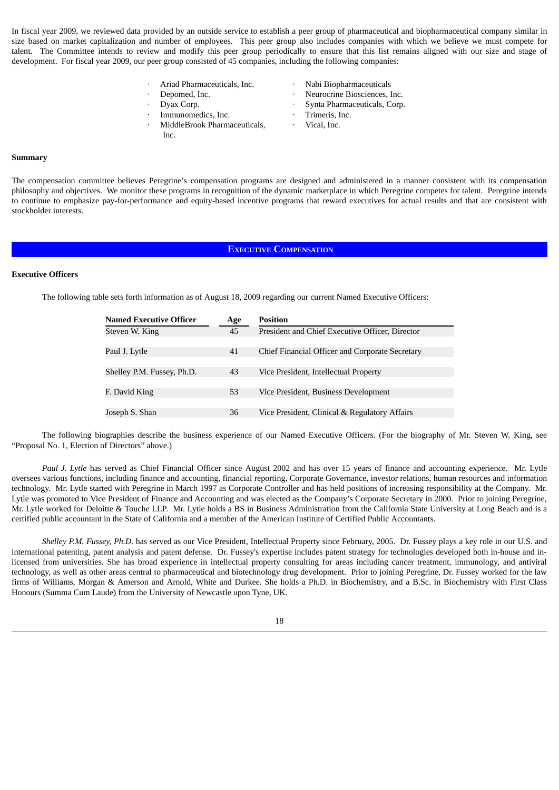In fiscal year 2009, we reviewed data provided by an outside service to establish a peer group of pharmaceutical and biopharmaceutical company similar in size based on market capitalization and number of employees. This peer group also includes companies with which we believe we must compete for talent. The Committee intends to review and modify this peer group periodically to ensure that this list remains aligned with our size and stage of development. For fiscal year 2009, our peer group consisted of 45 companies, including the following companies:

- · Ariad Pharmaceuticals, Inc. · Nabi Biopharmaceuticals
- · Depomed, Inc. · Neurocrine Biosciences, Inc.
- 

Inc.

- Immunomedics, Inc.  $\qquad \qquad$  Trimeris, Inc.
- · MiddleBrook Pharmaceuticals,
- 
- 
- · Dyax Corp. · Synta Pharmaceuticals, Corp.
	-
	- Vical, Inc.

#### **Summary**

The compensation committee believes Peregrine's compensation programs are designed and administered in a manner consistent with its compensation philosophy and objectives. We monitor these programs in recognition of the dynamic marketplace in which Peregrine competes for talent. Peregrine intends to continue to emphasize pay-for-performance and equity-based incentive programs that reward executives for actual results and that are consistent with stockholder interests.

#### **EXECUTIVE COMPENSATION**

#### **Executive Officers**

The following table sets forth information as of August 18, 2009 regarding our current Named Executive Officers:

| Age | <b>Position</b>                                 |
|-----|-------------------------------------------------|
| 45  | President and Chief Executive Officer, Director |
|     |                                                 |
| 41  | Chief Financial Officer and Corporate Secretary |
|     |                                                 |
| 43  | Vice President, Intellectual Property           |
|     |                                                 |
| 53  | Vice President, Business Development            |
|     |                                                 |
| 36  | Vice President, Clinical & Regulatory Affairs   |
|     |                                                 |

The following biographies describe the business experience of our Named Executive Officers. (For the biography of Mr. Steven W. King, see "Proposal No. 1, Election of Directors" above.)

*Paul J. Lytle* has served as Chief Financial Officer since August 2002 and has over 15 years of finance and accounting experience. Mr. Lytle oversees various functions, including finance and accounting, financial reporting, Corporate Governance, investor relations, human resources and information technology. Mr. Lytle started with Peregrine in March 1997 as Corporate Controller and has held positions of increasing responsibility at the Company. Mr. Lytle was promoted to Vice President of Finance and Accounting and was elected as the Company's Corporate Secretary in 2000. Prior to joining Peregrine, Mr. Lytle worked for Deloitte & Touche LLP. Mr. Lytle holds a BS in Business Administration from the California State University at Long Beach and is a certified public accountant in the State of California and a member of the American Institute of Certified Public Accountants.

*Shelley P.M. Fussey, Ph.D.* has served as our Vice President, Intellectual Property since February, 2005. Dr. Fussey plays a key role in our U.S. and international patenting, patent analysis and patent defense. Dr. Fussey's expertise includes patent strategy for technologies developed both in-house and inlicensed from universities. She has broad experience in intellectual property consulting for areas including cancer treatment, immunology, and antiviral technology, as well as other areas central to pharmaceutical and biotechnology drug development. Prior to joining Peregrine, Dr. Fussey worked for the law firms of Williams, Morgan & Amerson and Arnold, White and Durkee. She holds a Ph.D. in Biochemistry, and a B.Sc. in Biochemistry with First Class Honours (Summa Cum Laude) from the University of Newcastle upon Tyne, UK.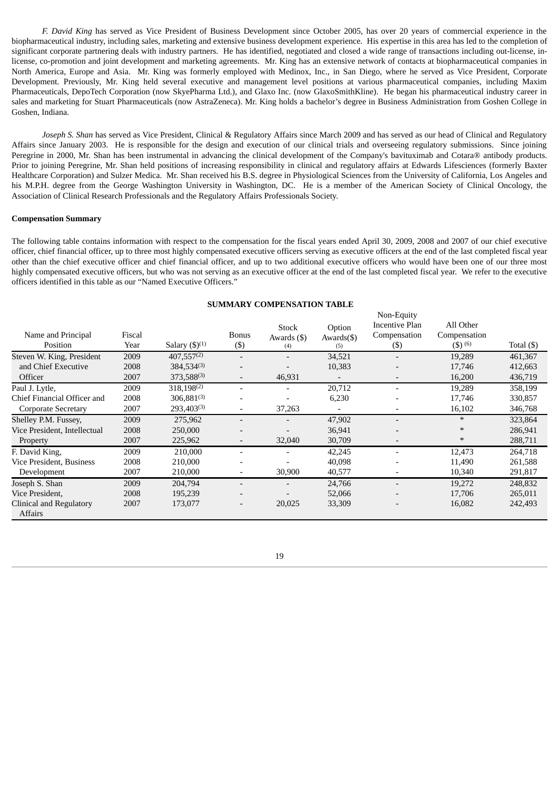*F. David King* has served as Vice President of Business Development since October 2005, has over 20 years of commercial experience in the biopharmaceutical industry, including sales, marketing and extensive business development experience. His expertise in this area has led to the completion of significant corporate partnering deals with industry partners. He has identified, negotiated and closed a wide range of transactions including out-license, inlicense, co-promotion and joint development and marketing agreements. Mr. King has an extensive network of contacts at biopharmaceutical companies in North America, Europe and Asia. Mr. King was formerly employed with Medinox, Inc., in San Diego, where he served as Vice President, Corporate Development. Previously, Mr. King held several executive and management level positions at various pharmaceutical companies, including Maxim Pharmaceuticals, DepoTech Corporation (now SkyePharma Ltd.), and Glaxo Inc. (now GlaxoSmithKline). He began his pharmaceutical industry career in sales and marketing for Stuart Pharmaceuticals (now AstraZeneca). Mr. King holds a bachelor's degree in Business Administration from Goshen College in Goshen, Indiana.

*Joseph S. Shan* has served as Vice President, Clinical & Regulatory Affairs since March 2009 and has served as our head of Clinical and Regulatory Affairs since January 2003. He is responsible for the design and execution of our clinical trials and overseeing regulatory submissions. Since joining Peregrine in 2000, Mr. Shan has been instrumental in advancing the clinical development of the Company's bavituximab and Cotara® antibody products. Prior to joining Peregrine, Mr. Shan held positions of increasing responsibility in clinical and regulatory affairs at Edwards Lifesciences (formerly Baxter Healthcare Corporation) and Sulzer Medica. Mr. Shan received his B.S. degree in Physiological Sciences from the University of California, Los Angeles and his M.P.H. degree from the George Washington University in Washington, DC. He is a member of the American Society of Clinical Oncology, the Association of Clinical Research Professionals and the Regulatory Affairs Professionals Society.

#### **Compensation Summary**

The following table contains information with respect to the compensation for the fiscal years ended April 30, 2009, 2008 and 2007 of our chief executive officer, chief financial officer, up to three most highly compensated executive officers serving as executive officers at the end of the last completed fiscal year other than the chief executive officer and chief financial officer, and up to two additional executive officers who would have been one of our three most highly compensated executive officers, but who was not serving as an executive officer at the end of the last completed fiscal year. We refer to the executive officers identified in this table as our "Named Executive Officers."

#### **SUMMARY COMPENSATION TABLE**

|                                           |        |                                        |                          |                   |               | Non-Equity          |              |            |
|-------------------------------------------|--------|----------------------------------------|--------------------------|-------------------|---------------|---------------------|--------------|------------|
|                                           |        |                                        |                          | <b>Stock</b>      | Option        | Incentive Plan      | All Other    |            |
| Name and Principal                        | Fiscal |                                        | <b>Bonus</b>             | Awards $($ \$ $)$ | $Awards($ \$) | Compensation        | Compensation |            |
| Position                                  | Year   | Salary $(\text{$\mathfrak{H}$})^{(1)}$ | $(\$)$                   | (4)               | (5)           | $(\boldsymbol{\$})$ | $(3)^{(6)}$  | Total (\$) |
| Steven W. King, President                 | 2009   | $407,557^{(2)}$                        | $\overline{\phantom{a}}$ |                   | 34,521        |                     | 19,289       | 461,367    |
| and Chief Executive                       | 2008   | $384.534^{(3)}$                        |                          |                   | 10,383        |                     | 17,746       | 412,663    |
| Officer                                   | 2007   | $373,588^{(3)}$                        | $\overline{\phantom{a}}$ | 46,931            |               |                     | 16,200       | 436,719    |
| Paul J. Lytle,                            | 2009   | $318,198^{(2)}$                        |                          |                   | 20,712        |                     | 19,289       | 358,199    |
| Chief Financial Officer and               | 2008   | $306,881^{(3)}$                        |                          |                   | 6,230         |                     | 17,746       | 330,857    |
| Corporate Secretary                       | 2007   | $293,403^{(3)}$                        | $\overline{\phantom{a}}$ | 37,263            |               |                     | 16,102       | 346,768    |
| Shelley P.M. Fussey,                      | 2009   | 275,962                                | $\overline{\phantom{0}}$ |                   | 47,902        |                     | $\ast$       | 323,864    |
| Vice President, Intellectual              | 2008   | 250,000                                |                          |                   | 36,941        |                     | $\ast$       | 286,941    |
| Property                                  | 2007   | 225,962                                | $\overline{\phantom{a}}$ | 32,040            | 30,709        |                     | $\ast$       | 288,711    |
| F. David King,                            | 2009   | 210,000                                | $\overline{\phantom{0}}$ |                   | 42,245        |                     | 12,473       | 264,718    |
| Vice President, Business                  | 2008   | 210,000                                |                          |                   | 40,098        |                     | 11,490       | 261,588    |
| Development                               | 2007   | 210,000                                |                          | 30,900            | 40,577        |                     | 10,340       | 291,817    |
| Joseph S. Shan                            | 2009   | 204,794                                |                          |                   | 24,766        |                     | 19,272       | 248,832    |
| Vice President,                           | 2008   | 195,239                                |                          |                   | 52,066        |                     | 17,706       | 265,011    |
| Clinical and Regulatory<br><b>Affairs</b> | 2007   | 173,077                                | $\qquad \qquad$          | 20,025            | 33,309        |                     | 16,082       | 242,493    |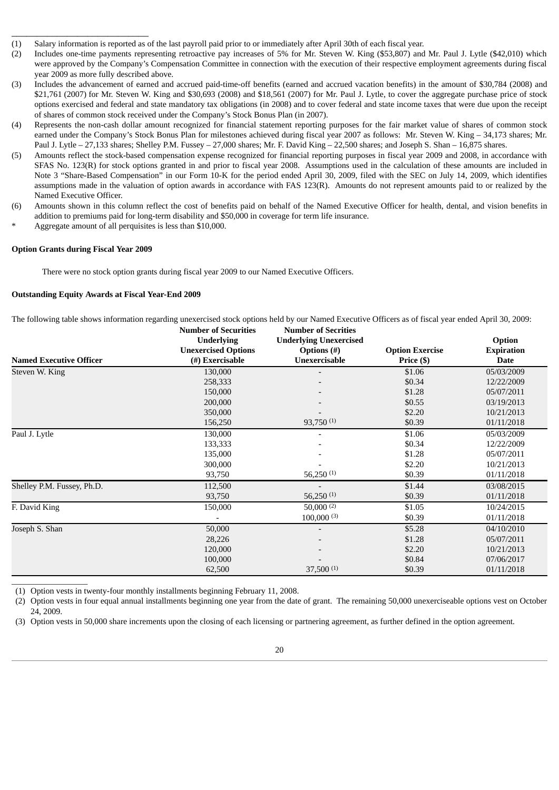- (1) Salary information is reported as of the last payroll paid prior to or immediately after April 30th of each fiscal year.
- (2) Includes one-time payments representing retroactive pay increases of 5% for Mr. Steven W. King (\$53,807) and Mr. Paul J. Lytle (\$42,010) which were approved by the Company's Compensation Committee in connection with the execution of their respective employment agreements during fiscal year 2009 as more fully described above.
- (3) Includes the advancement of earned and accrued paid-time-off benefits (earned and accrued vacation benefits) in the amount of \$30,784 (2008) and \$21,761 (2007) for Mr. Steven W. King and \$30,693 (2008) and \$18,561 (2007) for Mr. Paul J. Lytle, to cover the aggregate purchase price of stock options exercised and federal and state mandatory tax obligations (in 2008) and to cover federal and state income taxes that were due upon the receipt of shares of common stock received under the Company's Stock Bonus Plan (in 2007).
- (4) Represents the non-cash dollar amount recognized for financial statement reporting purposes for the fair market value of shares of common stock earned under the Company's Stock Bonus Plan for milestones achieved during fiscal year 2007 as follows: Mr. Steven W. King – 34,173 shares; Mr. Paul J. Lytle – 27,133 shares; Shelley P.M. Fussey – 27,000 shares; Mr. F. David King – 22,500 shares; and Joseph S. Shan – 16,875 shares.
- (5) Amounts reflect the stock-based compensation expense recognized for financial reporting purposes in fiscal year 2009 and 2008, in accordance with SFAS No. 123(R) for stock options granted in and prior to fiscal year 2008. Assumptions used in the calculation of these amounts are included in Note 3 "Share-Based Compensation" in our Form 10-K for the period ended April 30, 2009, filed with the SEC on July 14, 2009, which identifies assumptions made in the valuation of option awards in accordance with FAS 123(R). Amounts do not represent amounts paid to or realized by the Named Executive Officer.
- (6) Amounts shown in this column reflect the cost of benefits paid on behalf of the Named Executive Officer for health, dental, and vision benefits in addition to premiums paid for long-term disability and \$50,000 in coverage for term life insurance.
- Aggregate amount of all perquisites is less than \$10,000.

#### **Option Grants during Fiscal Year 2009**

 $\_$ 

\_\_\_\_\_\_\_\_\_\_\_\_\_\_\_\_\_\_\_\_\_\_\_\_\_\_\_

There were no stock option grants during fiscal year 2009 to our Named Executive Officers.

# **Outstanding Equity Awards at Fiscal Year-End 2009**

The following table shows information regarding unexercised stock options held by our Named Executive Officers as of fiscal year ended April 30, 2009:

|                                | <b>Number of Securities</b> | <b>Number of Secrities</b>    |                        |                   |  |
|--------------------------------|-----------------------------|-------------------------------|------------------------|-------------------|--|
|                                | <b>Underlying</b>           | <b>Underlying Unexercised</b> |                        | Option            |  |
|                                | <b>Unexercised Options</b>  | Options $(\#)$                | <b>Option Exercise</b> | <b>Expiration</b> |  |
| <b>Named Executive Officer</b> | (#) Exercisable             | Unexercisable                 | Price (\$)             | <b>Date</b>       |  |
| Steven W. King                 | 130,000                     |                               | \$1.06                 | 05/03/2009        |  |
|                                | 258,333                     |                               | \$0.34                 | 12/22/2009        |  |
|                                | 150,000                     |                               | \$1.28                 | 05/07/2011        |  |
|                                | 200,000                     |                               | \$0.55                 | 03/19/2013        |  |
|                                | 350,000                     |                               | \$2.20                 | 10/21/2013        |  |
|                                | 156,250                     | 93,750 $(1)$                  | \$0.39                 | 01/11/2018        |  |
| Paul J. Lytle                  | 130,000                     |                               | \$1.06                 | 05/03/2009        |  |
|                                | 133,333                     |                               | \$0.34                 | 12/22/2009        |  |
|                                | 135,000                     |                               | \$1.28                 | 05/07/2011        |  |
|                                | 300,000                     |                               | \$2.20                 | 10/21/2013        |  |
|                                | 93,750                      | 56,250 $(1)$                  | \$0.39                 | 01/11/2018        |  |
| Shelley P.M. Fussey, Ph.D.     | 112,500                     |                               | \$1.44                 | 03/08/2015        |  |
|                                | 93,750                      | 56,250 $(1)$                  | \$0.39                 | 01/11/2018        |  |
| F. David King                  | 150,000                     | $50,000^{(2)}$                | \$1.05                 | 10/24/2015        |  |
|                                |                             | $100,000^{(3)}$               | \$0.39                 | 01/11/2018        |  |
| Joseph S. Shan                 | 50,000                      | $\overline{\phantom{0}}$      | \$5.28                 | 04/10/2010        |  |
|                                | 28,226                      |                               | \$1.28                 | 05/07/2011        |  |
|                                | 120,000                     |                               | \$2.20                 | 10/21/2013        |  |
|                                | 100,000                     |                               | \$0.84                 | 07/06/2017        |  |
|                                | 62,500                      | 37,500(1)                     | \$0.39                 | 01/11/2018        |  |

(1) Option vests in twenty-four monthly installments beginning February 11, 2008.

(2) Option vests in four equal annual installments beginning one year from the date of grant. The remaining 50,000 unexerciseable options vest on October 24, 2009.

(3) Option vests in 50,000 share increments upon the closing of each licensing or partnering agreement, as further defined in the option agreement.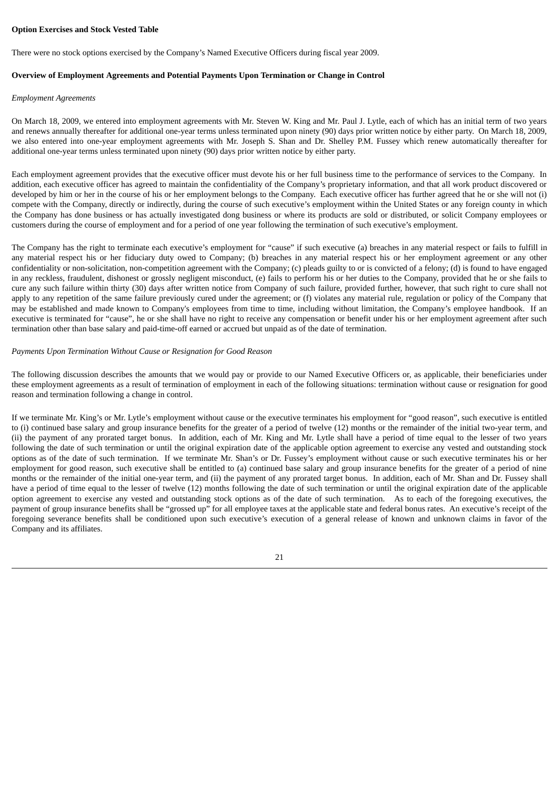#### **Option Exercises and Stock Vested Table**

There were no stock options exercised by the Company's Named Executive Officers during fiscal year 2009.

#### **Overview of Employment Agreements and Potential Payments Upon Termination or Change in Control**

#### *Employment Agreements*

On March 18, 2009, we entered into employment agreements with Mr. Steven W. King and Mr. Paul J. Lytle, each of which has an initial term of two years and renews annually thereafter for additional one-year terms unless terminated upon ninety (90) days prior written notice by either party. On March 18, 2009, we also entered into one-year employment agreements with Mr. Joseph S. Shan and Dr. Shelley P.M. Fussey which renew automatically thereafter for additional one-year terms unless terminated upon ninety (90) days prior written notice by either party.

Each employment agreement provides that the executive officer must devote his or her full business time to the performance of services to the Company. In addition, each executive officer has agreed to maintain the confidentiality of the Company's proprietary information, and that all work product discovered or developed by him or her in the course of his or her employment belongs to the Company. Each executive officer has further agreed that he or she will not (i) compete with the Company, directly or indirectly, during the course of such executive's employment within the United States or any foreign county in which the Company has done business or has actually investigated dong business or where its products are sold or distributed, or solicit Company employees or customers during the course of employment and for a period of one year following the termination of such executive's employment.

The Company has the right to terminate each executive's employment for "cause" if such executive (a) breaches in any material respect or fails to fulfill in any material respect his or her fiduciary duty owed to Company; (b) breaches in any material respect his or her employment agreement or any other confidentiality or non-solicitation, non-competition agreement with the Company; (c) pleads guilty to or is convicted of a felony; (d) is found to have engaged in any reckless, fraudulent, dishonest or grossly negligent misconduct, (e) fails to perform his or her duties to the Company, provided that he or she fails to cure any such failure within thirty (30) days after written notice from Company of such failure, provided further, however, that such right to cure shall not apply to any repetition of the same failure previously cured under the agreement; or (f) violates any material rule, regulation or policy of the Company that may be established and made known to Company's employees from time to time, including without limitation, the Company's employee handbook. If an executive is terminated for "cause", he or she shall have no right to receive any compensation or benefit under his or her employment agreement after such termination other than base salary and paid-time-off earned or accrued but unpaid as of the date of termination.

#### *Payments Upon Termination Without Cause or Resignation for Good Reason*

The following discussion describes the amounts that we would pay or provide to our Named Executive Officers or, as applicable, their beneficiaries under these employment agreements as a result of termination of employment in each of the following situations: termination without cause or resignation for good reason and termination following a change in control.

If we terminate Mr. King's or Mr. Lytle's employment without cause or the executive terminates his employment for "good reason", such executive is entitled to (i) continued base salary and group insurance benefits for the greater of a period of twelve (12) months or the remainder of the initial two-year term, and (ii) the payment of any prorated target bonus. In addition, each of Mr. King and Mr. Lytle shall have a period of time equal to the lesser of two years following the date of such termination or until the original expiration date of the applicable option agreement to exercise any vested and outstanding stock options as of the date of such termination. If we terminate Mr. Shan's or Dr. Fussey's employment without cause or such executive terminates his or her employment for good reason, such executive shall be entitled to (a) continued base salary and group insurance benefits for the greater of a period of nine months or the remainder of the initial one-year term, and (ii) the payment of any prorated target bonus. In addition, each of Mr. Shan and Dr. Fussey shall have a period of time equal to the lesser of twelve (12) months following the date of such termination or until the original expiration date of the applicable option agreement to exercise any vested and outstanding stock options as of the date of such termination. As to each of the foregoing executives, the payment of group insurance benefits shall be "grossed up" for all employee taxes at the applicable state and federal bonus rates. An executive's receipt of the foregoing severance benefits shall be conditioned upon such executive's execution of a general release of known and unknown claims in favor of the Company and its affiliates.

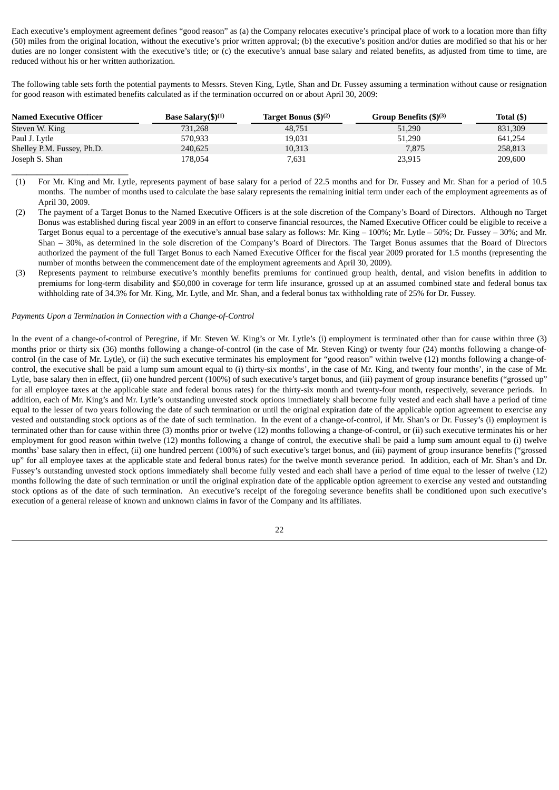Each executive's employment agreement defines "good reason" as (a) the Company relocates executive's principal place of work to a location more than fifty (50) miles from the original location, without the executive's prior written approval; (b) the executive's position and/or duties are modified so that his or her duties are no longer consistent with the executive's title; or (c) the executive's annual base salary and related benefits, as adjusted from time to time, are reduced without his or her written authorization.

The following table sets forth the potential payments to Messrs. Steven King, Lytle, Shan and Dr. Fussey assuming a termination without cause or resignation for good reason with estimated benefits calculated as if the termination occurred on or about April 30, 2009:

| <b>Named Executive Officer</b> | <b>Base Salary</b> $(5)^{(1)}$ | Target Bonus (\$) <sup>(2)</sup> | Group Benefits $(\$)^{(3)}$ | Total (\$) |
|--------------------------------|--------------------------------|----------------------------------|-----------------------------|------------|
| Steven W. King                 | 731.268                        | 48.751                           | 51,290                      | 831,309    |
| Paul J. Lytle                  | 570,933                        | 19,031                           | 51,290                      | 641.254    |
| Shelley P.M. Fussey, Ph.D.     | 240,625                        | 10,313                           | 7,875                       | 258,813    |
| Joseph S. Shan                 | 178,054                        | 7,631                            | 23,915                      | 209,600    |

(1) For Mr. King and Mr. Lytle, represents payment of base salary for a period of 22.5 months and for Dr. Fussey and Mr. Shan for a period of 10.5 months. The number of months used to calculate the base salary represents the remaining initial term under each of the employment agreements as of April 30, 2009.

- (2) The payment of a Target Bonus to the Named Executive Officers is at the sole discretion of the Company's Board of Directors. Although no Target Bonus was established during fiscal year 2009 in an effort to conserve financial resources, the Named Executive Officer could be eligible to receive a Target Bonus equal to a percentage of the executive's annual base salary as follows: Mr. King – 100%; Mr. Lytle – 50%; Dr. Fussey – 30%; and Mr. Shan – 30%, as determined in the sole discretion of the Company's Board of Directors. The Target Bonus assumes that the Board of Directors authorized the payment of the full Target Bonus to each Named Executive Officer for the fiscal year 2009 prorated for 1.5 months (representing the number of months between the commencement date of the employment agreements and April 30, 2009).
- (3) Represents payment to reimburse executive's monthly benefits premiums for continued group health, dental, and vision benefits in addition to premiums for long-term disability and \$50,000 in coverage for term life insurance, grossed up at an assumed combined state and federal bonus tax withholding rate of 34.3% for Mr. King, Mr. Lytle, and Mr. Shan, and a federal bonus tax withholding rate of 25% for Dr. Fussey.

#### *Payments Upon a Termination in Connection with a Change-of-Control*

\_\_\_\_\_\_\_\_\_\_\_\_\_\_\_\_\_\_\_\_\_\_\_

In the event of a change-of-control of Peregrine, if Mr. Steven W. King's or Mr. Lytle's (i) employment is terminated other than for cause within three (3) months prior or thirty six (36) months following a change-of-control (in the case of Mr. Steven King) or twenty four (24) months following a change-ofcontrol (in the case of Mr. Lytle), or (ii) the such executive terminates his employment for "good reason" within twelve (12) months following a change-ofcontrol, the executive shall be paid a lump sum amount equal to (i) thirty-six months', in the case of Mr. King, and twenty four months', in the case of Mr. Lytle, base salary then in effect, (ii) one hundred percent (100%) of such executive's target bonus, and (iii) payment of group insurance benefits ("grossed up" for all employee taxes at the applicable state and federal bonus rates) for the thirty-six month and twenty-four month, respectively, severance periods. In addition, each of Mr. King's and Mr. Lytle's outstanding unvested stock options immediately shall become fully vested and each shall have a period of time equal to the lesser of two years following the date of such termination or until the original expiration date of the applicable option agreement to exercise any vested and outstanding stock options as of the date of such termination. In the event of a change-of-control, if Mr. Shan's or Dr. Fussey's (i) employment is terminated other than for cause within three (3) months prior or twelve (12) months following a change-of-control, or (ii) such executive terminates his or her employment for good reason within twelve (12) months following a change of control, the executive shall be paid a lump sum amount equal to (i) twelve months' base salary then in effect, (ii) one hundred percent (100%) of such executive's target bonus, and (iii) payment of group insurance benefits ("grossed up" for all employee taxes at the applicable state and federal bonus rates) for the twelve month severance period. In addition, each of Mr. Shan's and Dr. Fussey's outstanding unvested stock options immediately shall become fully vested and each shall have a period of time equal to the lesser of twelve (12) months following the date of such termination or until the original expiration date of the applicable option agreement to exercise any vested and outstanding stock options as of the date of such termination. An executive's receipt of the foregoing severance benefits shall be conditioned upon such executive's execution of a general release of known and unknown claims in favor of the Company and its affiliates.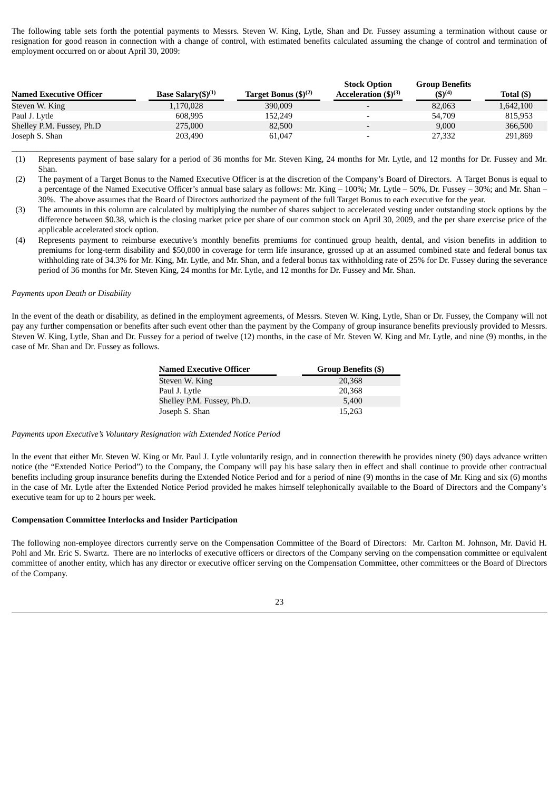The following table sets forth the potential payments to Messrs. Steven W. King, Lytle, Shan and Dr. Fussey assuming a termination without cause or resignation for good reason in connection with a change of control, with estimated benefits calculated assuming the change of control and termination of employment occurred on or about April 30, 2009:

|                                |                                             |                                  | <b>Stock Option</b>       | <b>Group Benefits</b> |            |
|--------------------------------|---------------------------------------------|----------------------------------|---------------------------|-----------------------|------------|
| <b>Named Executive Officer</b> | Base Salary $(\text{$\mathfrak{S}$})^{(1)}$ | Target Bonus (\$) <sup>(2)</sup> | Acceleration $(\$)^{(3)}$ | $(5)^{(4)}$           | Total (\$) |
| Steven W. King                 | 1,170,028                                   | 390,009                          |                           | 82,063                | 1,642,100  |
| Paul J. Lytle                  | 608.995                                     | 152,249                          |                           | 54,709                | 815,953    |
| Shelley P.M. Fussey, Ph.D      | 275,000                                     | 82,500                           |                           | 9,000                 | 366,500    |
| Joseph S. Shan                 | 203,490                                     | 61,047                           |                           | 27,332                | 291,869    |

(1) Represents payment of base salary for a period of 36 months for Mr. Steven King, 24 months for Mr. Lytle, and 12 months for Dr. Fussey and Mr. Shan.

(2) The payment of a Target Bonus to the Named Executive Officer is at the discretion of the Company's Board of Directors. A Target Bonus is equal to a percentage of the Named Executive Officer's annual base salary as follows: Mr. King – 100%; Mr. Lytle – 50%, Dr. Fussey – 30%; and Mr. Shan – 30%. The above assumes that the Board of Directors authorized the payment of the full Target Bonus to each executive for the year.

(3) The amounts in this column are calculated by multiplying the number of shares subject to accelerated vesting under outstanding stock options by the difference between \$0.38, which is the closing market price per share of our common stock on April 30, 2009, and the per share exercise price of the applicable accelerated stock option.

(4) Represents payment to reimburse executive's monthly benefits premiums for continued group health, dental, and vision benefits in addition to premiums for long-term disability and \$50,000 in coverage for term life insurance, grossed up at an assumed combined state and federal bonus tax withholding rate of 34.3% for Mr. King, Mr. Lytle, and Mr. Shan, and a federal bonus tax withholding rate of 25% for Dr. Fussey during the severance period of 36 months for Mr. Steven King, 24 months for Mr. Lytle, and 12 months for Dr. Fussey and Mr. Shan.

## *Payments upon Death or Disability*

\_\_\_\_\_\_\_\_\_\_\_\_\_\_\_\_\_\_\_\_\_\_\_\_

In the event of the death or disability, as defined in the employment agreements, of Messrs. Steven W. King, Lytle, Shan or Dr. Fussey, the Company will not pay any further compensation or benefits after such event other than the payment by the Company of group insurance benefits previously provided to Messrs. Steven W. King, Lytle, Shan and Dr. Fussey for a period of twelve (12) months, in the case of Mr. Steven W. King and Mr. Lytle, and nine (9) months, in the case of Mr. Shan and Dr. Fussey as follows.

| Named Executive Officer    | <b>Group Benefits (\$)</b> |
|----------------------------|----------------------------|
| Steven W. King             | 20,368                     |
| Paul J. Lytle              | 20,368                     |
| Shelley P.M. Fussey, Ph.D. | 5,400                      |
| Joseph S. Shan             | 15,263                     |

#### *Payments upon Executive's Voluntary Resignation with Extended Notice Period*

In the event that either Mr. Steven W. King or Mr. Paul J. Lytle voluntarily resign, and in connection therewith he provides ninety (90) days advance written notice (the "Extended Notice Period") to the Company, the Company will pay his base salary then in effect and shall continue to provide other contractual benefits including group insurance benefits during the Extended Notice Period and for a period of nine (9) months in the case of Mr. King and six (6) months in the case of Mr. Lytle after the Extended Notice Period provided he makes himself telephonically available to the Board of Directors and the Company's executive team for up to 2 hours per week.

#### **Compensation Committee Interlocks and Insider Participation**

The following non-employee directors currently serve on the Compensation Committee of the Board of Directors: Mr. Carlton M. Johnson, Mr. David H. Pohl and Mr. Eric S. Swartz. There are no interlocks of executive officers or directors of the Company serving on the compensation committee or equivalent committee of another entity, which has any director or executive officer serving on the Compensation Committee, other committees or the Board of Directors of the Company.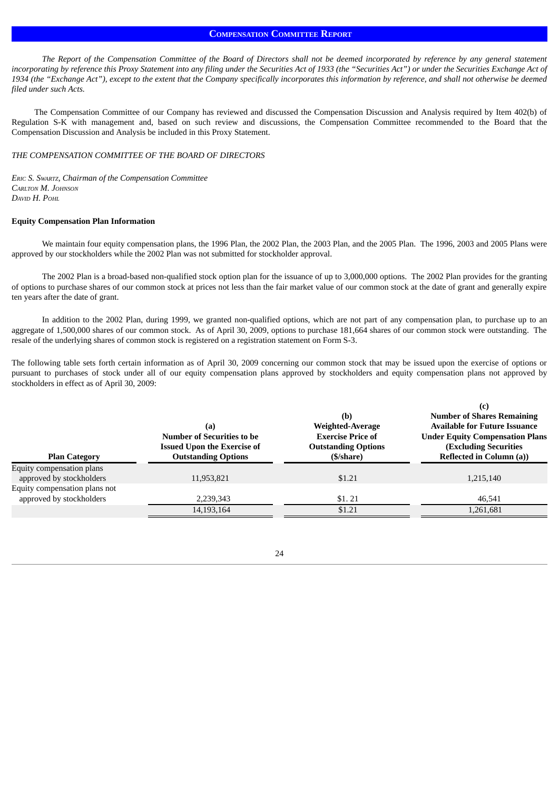# **COMPENSATION COMMITTEE REPORT**

The Report of the Compensation Committee of the Board of Directors shall not be deemed incorporated by reference by any general statement incorporating by reference this Proxy Statement into any filing under the Securities Act of 1933 (the "Securities Act") or under the Securities Exchange Act of 1934 (the "Exchange Act"), except to the extent that the Company specifically incorporates this information by reference, and shall not otherwise be deemed *filed under such Acts.*

The Compensation Committee of our Company has reviewed and discussed the Compensation Discussion and Analysis required by Item 402(b) of Regulation S-K with management and, based on such review and discussions, the Compensation Committee recommended to the Board that the Compensation Discussion and Analysis be included in this Proxy Statement.

#### *THE COMPENSATION COMMITTEE OF THE BOARD OF DIRECTORS*

*ERIC S. SWARTZ, Chairman of the Compensation Committee CARLTON M. JOHNSON DAVID H. POHL*

#### **Equity Compensation Plan Information**

We maintain four equity compensation plans, the 1996 Plan, the 2002 Plan, the 2003 Plan, and the 2005 Plan. The 1996, 2003 and 2005 Plans were approved by our stockholders while the 2002 Plan was not submitted for stockholder approval.

The 2002 Plan is a broad-based non-qualified stock option plan for the issuance of up to 3,000,000 options. The 2002 Plan provides for the granting of options to purchase shares of our common stock at prices not less than the fair market value of our common stock at the date of grant and generally expire ten years after the date of grant.

In addition to the 2002 Plan, during 1999, we granted non-qualified options, which are not part of any compensation plan, to purchase up to an aggregate of 1,500,000 shares of our common stock. As of April 30, 2009, options to purchase 181,664 shares of our common stock were outstanding. The resale of the underlying shares of common stock is registered on a registration statement on Form S-3.

The following table sets forth certain information as of April 30, 2009 concerning our common stock that may be issued upon the exercise of options or pursuant to purchases of stock under all of our equity compensation plans approved by stockholders and equity compensation plans not approved by stockholders in effect as of April 30, 2009:

|                                                       | (a)<br><b>Number of Securities to be</b><br><b>Issued Upon the Exercise of</b> | (b)<br>Weighted-Average<br><b>Exercise Price of</b><br><b>Outstanding Options</b> | (c)<br><b>Number of Shares Remaining</b><br><b>Available for Future Issuance</b><br><b>Under Equity Compensation Plans</b><br><b>(Excluding Securities)</b> |  |  |  |  |
|-------------------------------------------------------|--------------------------------------------------------------------------------|-----------------------------------------------------------------------------------|-------------------------------------------------------------------------------------------------------------------------------------------------------------|--|--|--|--|
| <b>Plan Category</b>                                  | <b>Outstanding Options</b>                                                     | (\$/share)                                                                        | <b>Reflected in Column (a))</b>                                                                                                                             |  |  |  |  |
| Equity compensation plans<br>approved by stockholders | 11,953,821                                                                     | \$1.21                                                                            | 1,215,140                                                                                                                                                   |  |  |  |  |
| Equity compensation plans not                         |                                                                                |                                                                                   |                                                                                                                                                             |  |  |  |  |
| approved by stockholders                              | 2,239,343                                                                      | \$1.21                                                                            | 46,541                                                                                                                                                      |  |  |  |  |
|                                                       | 14,193,164                                                                     | \$1.21                                                                            | 1,261,681                                                                                                                                                   |  |  |  |  |
|                                                       |                                                                                |                                                                                   |                                                                                                                                                             |  |  |  |  |

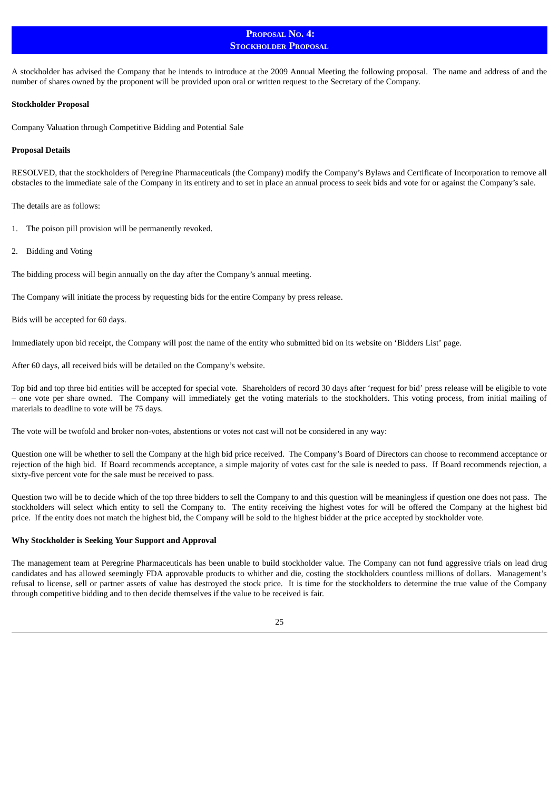# **PROPOSAL NO. 4: STOCKHOLDER PROPOSAL**

A stockholder has advised the Company that he intends to introduce at the 2009 Annual Meeting the following proposal. The name and address of and the number of shares owned by the proponent will be provided upon oral or written request to the Secretary of the Company.

#### **Stockholder Proposal**

Company Valuation through Competitive Bidding and Potential Sale

#### **Proposal Details**

RESOLVED, that the stockholders of Peregrine Pharmaceuticals (the Company) modify the Company's Bylaws and Certificate of Incorporation to remove all obstacles to the immediate sale of the Company in its entirety and to set in place an annual process to seek bids and vote for or against the Company's sale.

The details are as follows:

- 1. The poison pill provision will be permanently revoked.
- 2. Bidding and Voting

The bidding process will begin annually on the day after the Company's annual meeting.

The Company will initiate the process by requesting bids for the entire Company by press release.

Bids will be accepted for 60 days.

Immediately upon bid receipt, the Company will post the name of the entity who submitted bid on its website on 'Bidders List' page.

After 60 days, all received bids will be detailed on the Company's website.

Top bid and top three bid entities will be accepted for special vote. Shareholders of record 30 days after 'request for bid' press release will be eligible to vote – one vote per share owned. The Company will immediately get the voting materials to the stockholders. This voting process, from initial mailing of materials to deadline to vote will be 75 days.

The vote will be twofold and broker non-votes, abstentions or votes not cast will not be considered in any way:

Question one will be whether to sell the Company at the high bid price received. The Company's Board of Directors can choose to recommend acceptance or rejection of the high bid. If Board recommends acceptance, a simple majority of votes cast for the sale is needed to pass. If Board recommends rejection, a sixty-five percent vote for the sale must be received to pass.

Question two will be to decide which of the top three bidders to sell the Company to and this question will be meaningless if question one does not pass. The stockholders will select which entity to sell the Company to. The entity receiving the highest votes for will be offered the Company at the highest bid price. If the entity does not match the highest bid, the Company will be sold to the highest bidder at the price accepted by stockholder vote.

## **Why Stockholder is Seeking Your Support and Approval**

The management team at Peregrine Pharmaceuticals has been unable to build stockholder value. The Company can not fund aggressive trials on lead drug candidates and has allowed seemingly FDA approvable products to whither and die, costing the stockholders countless millions of dollars. Management's refusal to license, sell or partner assets of value has destroyed the stock price. It is time for the stockholders to determine the true value of the Company through competitive bidding and to then decide themselves if the value to be received is fair.

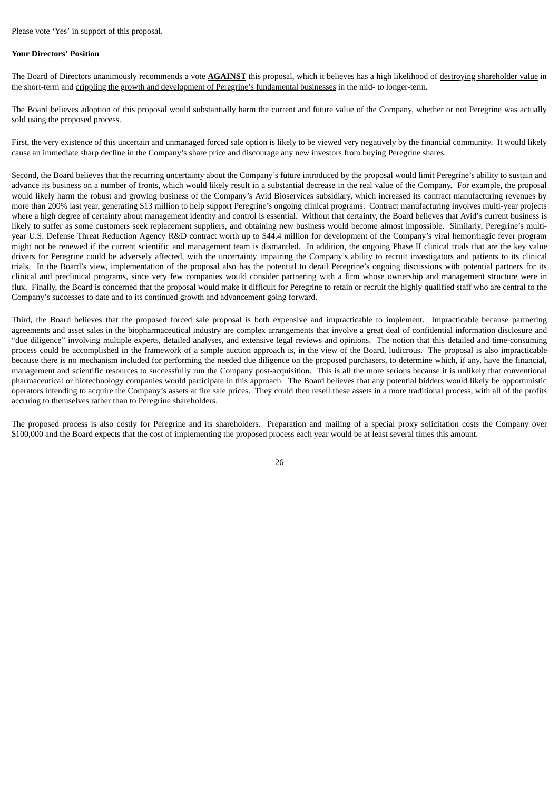#### **Your Directors' Position**

The Board of Directors unanimously recommends a vote **AGAINST** this proposal, which it believes has a high likelihood of destroying shareholder value in the short-term and crippling the growth and development of Peregrine's fundamental businesses in the mid- to longer-term.

The Board believes adoption of this proposal would substantially harm the current and future value of the Company, whether or not Peregrine was actually sold using the proposed process.

First, the very existence of this uncertain and unmanaged forced sale option is likely to be viewed very negatively by the financial community. It would likely cause an immediate sharp decline in the Company's share price and discourage any new investors from buying Peregrine shares.

Second, the Board believes that the recurring uncertainty about the Company's future introduced by the proposal would limit Peregrine's ability to sustain and advance its business on a number of fronts, which would likely result in a substantial decrease in the real value of the Company. For example, the proposal would likely harm the robust and growing business of the Company's Avid Bioservices subsidiary, which increased its contract manufacturing revenues by more than 200% last year, generating \$13 million to help support Peregrine's ongoing clinical programs. Contract manufacturing involves multi-year projects where a high degree of certainty about management identity and control is essential. Without that certainty, the Board believes that Avid's current business is likely to suffer as some customers seek replacement suppliers, and obtaining new business would become almost impossible. Similarly, Peregrine's multiyear U.S. Defense Threat Reduction Agency R&D contract worth up to \$44.4 million for development of the Company's viral hemorrhagic fever program might not be renewed if the current scientific and management team is dismantled. In addition, the ongoing Phase II clinical trials that are the key value drivers for Peregrine could be adversely affected, with the uncertainty impairing the Company's ability to recruit investigators and patients to its clinical trials. In the Board's view, implementation of the proposal also has the potential to derail Peregrine's ongoing discussions with potential partners for its clinical and preclinical programs, since very few companies would consider partnering with a firm whose ownership and management structure were in flux. Finally, the Board is concerned that the proposal would make it difficult for Peregrine to retain or recruit the highly qualified staff who are central to the Company's successes to date and to its continued growth and advancement going forward.

Third, the Board believes that the proposed forced sale proposal is both expensive and impracticable to implement. Impracticable because partnering agreements and asset sales in the biopharmaceutical industry are complex arrangements that involve a great deal of confidential information disclosure and "due diligence" involving multiple experts, detailed analyses, and extensive legal reviews and opinions. The notion that this detailed and time-consuming process could be accomplished in the framework of a simple auction approach is, in the view of the Board, ludicrous. The proposal is also impracticable because there is no mechanism included for performing the needed due diligence on the proposed purchasers, to determine which, if any, have the financial, management and scientific resources to successfully run the Company post-acquisition. This is all the more serious because it is unlikely that conventional pharmaceutical or biotechnology companies would participate in this approach. The Board believes that any potential bidders would likely be opportunistic operators intending to acquire the Company's assets at fire sale prices. They could then resell these assets in a more traditional process, with all of the profits accruing to themselves rather than to Peregrine shareholders.

The proposed process is also costly for Peregrine and its shareholders. Preparation and mailing of a special proxy solicitation costs the Company over \$100,000 and the Board expects that the cost of implementing the proposed process each year would be at least several times this amount.

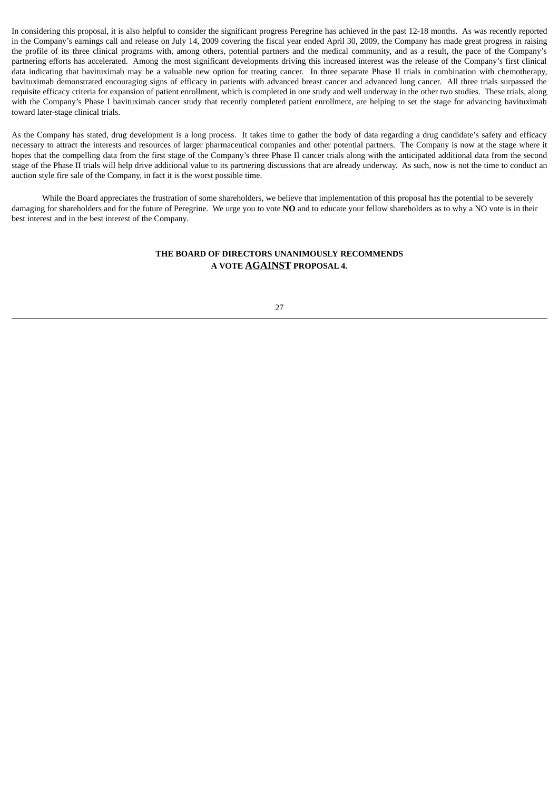In considering this proposal, it is also helpful to consider the significant progress Peregrine has achieved in the past 12-18 months. As was recently reported in the Company's earnings call and release on July 14, 2009 covering the fiscal year ended April 30, 2009, the Company has made great progress in raising the profile of its three clinical programs with, among others, potential partners and the medical community, and as a result, the pace of the Company's partnering efforts has accelerated. Among the most significant developments driving this increased interest was the release of the Company's first clinical data indicating that bavituximab may be a valuable new option for treating cancer. In three separate Phase II trials in combination with chemotherapy, bavituximab demonstrated encouraging signs of efficacy in patients with advanced breast cancer and advanced lung cancer. All three trials surpassed the requisite efficacy criteria for expansion of patient enrollment, which is completed in one study and well underway in the other two studies. These trials, along with the Company's Phase I bavituximab cancer study that recently completed patient enrollment, are helping to set the stage for advancing bavituximab toward later-stage clinical trials.

As the Company has stated, drug development is a long process. It takes time to gather the body of data regarding a drug candidate's safety and efficacy necessary to attract the interests and resources of larger pharmaceutical companies and other potential partners. The Company is now at the stage where it hopes that the compelling data from the first stage of the Company's three Phase II cancer trials along with the anticipated additional data from the second stage of the Phase II trials will help drive additional value to its partnering discussions that are already underway. As such, now is not the time to conduct an auction style fire sale of the Company, in fact it is the worst possible time.

While the Board appreciates the frustration of some shareholders, we believe that implementation of this proposal has the potential to be severely damaging for shareholders and for the future of Peregrine. We urge you to vote **NO** and to educate your fellow shareholders as to why a NO vote is in their best interest and in the best interest of the Company.

# **THE BOARD OF DIRECTORS UNANIMOUSLY RECOMMENDS A VOTE AGAINST PROPOSAL 4.**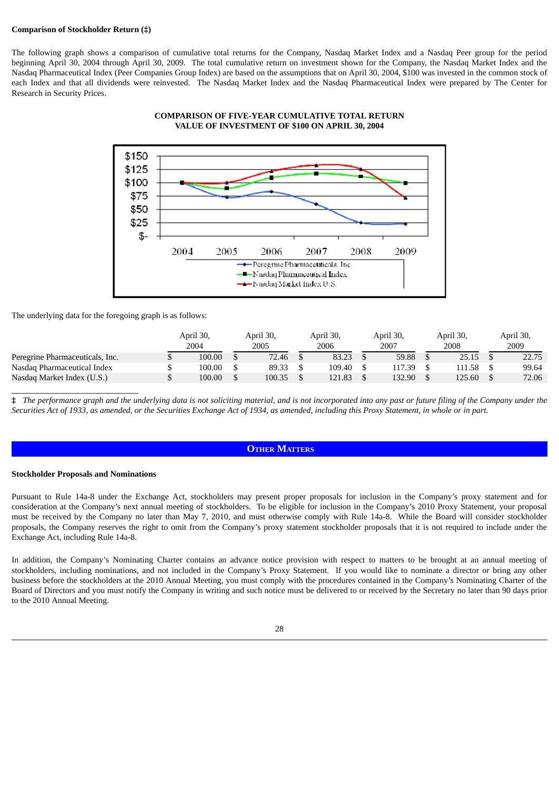## **Comparison of Stockholder Return (‡)**

The following graph shows a comparison of cumulative total returns for the Company, Nasdaq Market Index and a Nasdaq Peer group for the period beginning April 30, 2004 through April 30, 2009. The total cumulative return on investment shown for the Company, the Nasdaq Market Index and the Nasdaq Pharmaceutical Index (Peer Companies Group Index) are based on the assumptions that on April 30, 2004, \$100 was invested in the common stock of each Index and that all dividends were reinvested. The Nasdaq Market Index and the Nasdaq Pharmaceutical Index were prepared by The Center for Research in Security Prices.



#### **COMPARISON OF FIVE-YEAR CUMULATIVE TOTAL RETURN VALUE OF INVESTMENT OF \$100 ON APRIL 30, 2004**

The underlying data for the foregoing graph is as follows:

|                                 | April 30,<br>2004 | April 30,<br>2005 | April 30,<br>2006 | April 30,<br>2007 | April 30,<br>2008 | April 30,<br>2009 |
|---------------------------------|-------------------|-------------------|-------------------|-------------------|-------------------|-------------------|
| Peregrine Pharmaceuticals, Inc. | 100.00            | 72.46             | 83.23             | 59.88             | 25.15             | 22.75             |
| Nasdaq Pharmaceutical Index     | 100.00            | 89.33             | 109.40            | 117.39            | 111.58            | 99.64             |
| Nasdag Market Index (U.S.)      | 100.00            | 100.35            | 121.83            | 132.90            | 125.60            | 72.06             |

# The performance graph and the underlying data is not soliciting material, and is not incorporated into any past or future filing of the Company under the Securities Act of 1933, as amended, or the Securities Exchange Act of 1934, as amended, including this Proxy Statement, in whole or in part.

# **OTHER MATTERS**

#### **Stockholder Proposals and Nominations**

\_\_\_\_\_\_\_\_\_\_\_\_\_\_\_\_\_\_\_\_\_\_\_\_\_

Pursuant to Rule 14a-8 under the Exchange Act, stockholders may present proper proposals for inclusion in the Company's proxy statement and for consideration at the Company's next annual meeting of stockholders. To be eligible for inclusion in the Company's 2010 Proxy Statement, your proposal must be received by the Company no later than May 7, 2010, and must otherwise comply with Rule 14a-8. While the Board will consider stockholder proposals, the Company reserves the right to omit from the Company's proxy statement stockholder proposals that it is not required to include under the Exchange Act, including Rule 14a-8.

In addition, the Company's Nominating Charter contains an advance notice provision with respect to matters to be brought at an annual meeting of stockholders, including nominations, and not included in the Company's Proxy Statement. If you would like to nominate a director or bring any other business before the stockholders at the 2010 Annual Meeting, you must comply with the procedures contained in the Company's Nominating Charter of the Board of Directors and you must notify the Company in writing and such notice must be delivered to or received by the Secretary no later than 90 days prior to the 2010 Annual Meeting.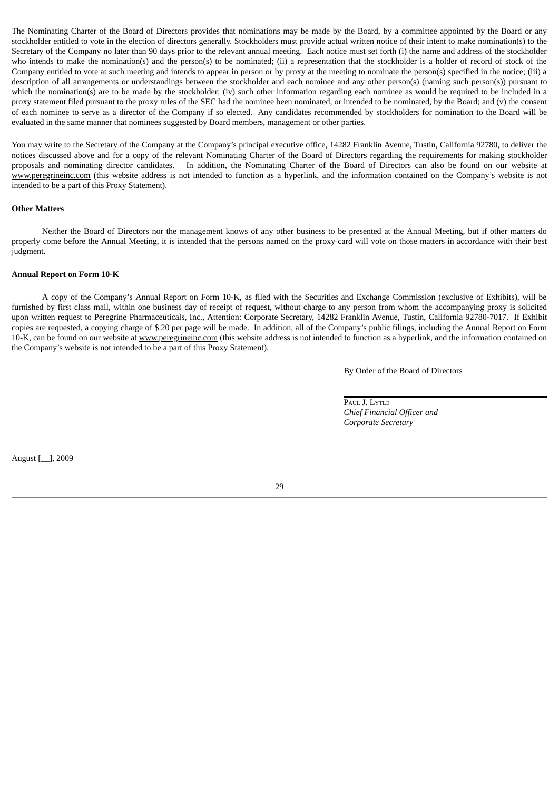The Nominating Charter of the Board of Directors provides that nominations may be made by the Board, by a committee appointed by the Board or any stockholder entitled to vote in the election of directors generally. Stockholders must provide actual written notice of their intent to make nomination(s) to the Secretary of the Company no later than 90 days prior to the relevant annual meeting. Each notice must set forth (i) the name and address of the stockholder who intends to make the nomination(s) and the person(s) to be nominated; (ii) a representation that the stockholder is a holder of record of stock of the Company entitled to vote at such meeting and intends to appear in person or by proxy at the meeting to nominate the person(s) specified in the notice; (iii) a description of all arrangements or understandings between the stockholder and each nominee and any other person(s) (naming such person(s)) pursuant to which the nomination(s) are to be made by the stockholder; (iv) such other information regarding each nominee as would be required to be included in a proxy statement filed pursuant to the proxy rules of the SEC had the nominee been nominated, or intended to be nominated, by the Board; and (v) the consent of each nominee to serve as a director of the Company if so elected. Any candidates recommended by stockholders for nomination to the Board will be evaluated in the same manner that nominees suggested by Board members, management or other parties.

You may write to the Secretary of the Company at the Company's principal executive office, 14282 Franklin Avenue, Tustin, California 92780, to deliver the notices discussed above and for a copy of the relevant Nominating Charter of the Board of Directors regarding the requirements for making stockholder proposals and nominating director candidates. In addition, the Nominating Charter of the Board of Directors can also be found on our website at www.peregrineinc.com (this website address is not intended to function as a hyperlink, and the information contained on the Company's website is not intended to be a part of this Proxy Statement).

#### **Other Matters**

Neither the Board of Directors nor the management knows of any other business to be presented at the Annual Meeting, but if other matters do properly come before the Annual Meeting, it is intended that the persons named on the proxy card will vote on those matters in accordance with their best judgment.

## **Annual Report on Form 10-K**

A copy of the Company's Annual Report on Form 10-K, as filed with the Securities and Exchange Commission (exclusive of Exhibits), will be furnished by first class mail, within one business day of receipt of request, without charge to any person from whom the accompanying proxy is solicited upon written request to Peregrine Pharmaceuticals, Inc., Attention: Corporate Secretary, 14282 Franklin Avenue, Tustin, California 92780-7017. If Exhibit copies are requested, a copying charge of \$.20 per page will be made. In addition, all of the Company's public filings, including the Annual Report on Form 10-K, can be found on our website at www.peregrineinc.com (this website address is not intended to function as a hyperlink, and the information contained on the Company's website is not intended to be a part of this Proxy Statement).

By Order of the Board of Directors

| Paul J. Lytle               |
|-----------------------------|
| Chief Financial Officer and |
| Corporate Secretary         |

August [\_\_], 2009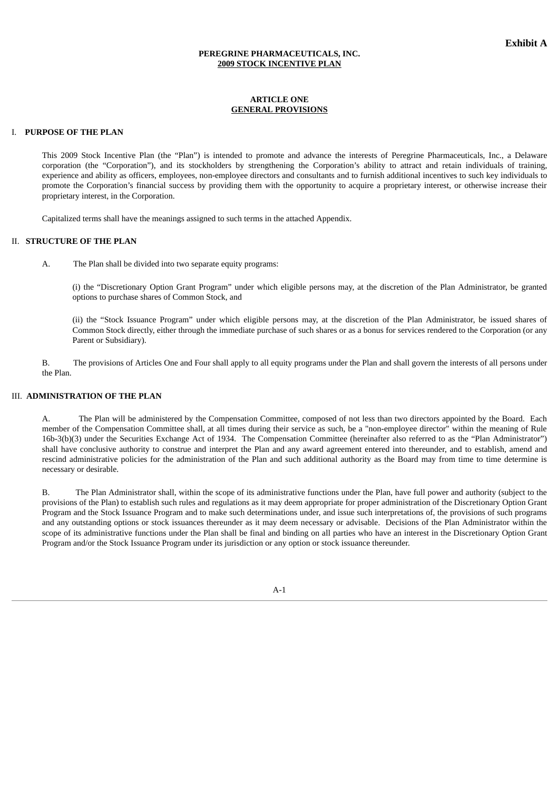## **PEREGRINE PHARMACEUTICALS, INC. 2009 STOCK INCENTIVE PLAN**

#### **ARTICLE ONE GENERAL PROVISIONS**

## I. **PURPOSE OF THE PLAN**

This 2009 Stock Incentive Plan (the "Plan") is intended to promote and advance the interests of Peregrine Pharmaceuticals, Inc., a Delaware corporation (the "Corporation"), and its stockholders by strengthening the Corporation's ability to attract and retain individuals of training, experience and ability as officers, employees, non-employee directors and consultants and to furnish additional incentives to such key individuals to promote the Corporation's financial success by providing them with the opportunity to acquire a proprietary interest, or otherwise increase their proprietary interest, in the Corporation.

Capitalized terms shall have the meanings assigned to such terms in the attached Appendix.

# II. **STRUCTURE OF THE PLAN**

A. The Plan shall be divided into two separate equity programs:

(i) the "Discretionary Option Grant Program" under which eligible persons may, at the discretion of the Plan Administrator, be granted options to purchase shares of Common Stock, and

(ii) the "Stock Issuance Program" under which eligible persons may, at the discretion of the Plan Administrator, be issued shares of Common Stock directly, either through the immediate purchase of such shares or as a bonus for services rendered to the Corporation (or any Parent or Subsidiary).

B. The provisions of Articles One and Four shall apply to all equity programs under the Plan and shall govern the interests of all persons under the Plan.

# III. **ADMINISTRATION OF THE PLAN**

The Plan will be administered by the Compensation Committee, composed of not less than two directors appointed by the Board. Each member of the Compensation Committee shall, at all times during their service as such, be a "non-employee director" within the meaning of Rule 16b-3(b)(3) under the Securities Exchange Act of 1934. The Compensation Committee (hereinafter also referred to as the "Plan Administrator") shall have conclusive authority to construe and interpret the Plan and any award agreement entered into thereunder, and to establish, amend and rescind administrative policies for the administration of the Plan and such additional authority as the Board may from time to time determine is necessary or desirable.

B. The Plan Administrator shall, within the scope of its administrative functions under the Plan, have full power and authority (subject to the provisions of the Plan) to establish such rules and regulations as it may deem appropriate for proper administration of the Discretionary Option Grant Program and the Stock Issuance Program and to make such determinations under, and issue such interpretations of, the provisions of such programs and any outstanding options or stock issuances thereunder as it may deem necessary or advisable. Decisions of the Plan Administrator within the scope of its administrative functions under the Plan shall be final and binding on all parties who have an interest in the Discretionary Option Grant Program and/or the Stock Issuance Program under its jurisdiction or any option or stock issuance thereunder.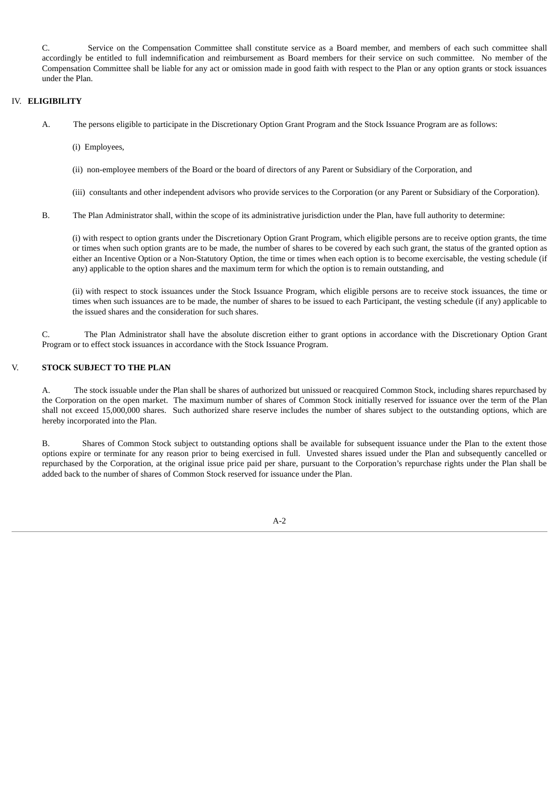C. Service on the Compensation Committee shall constitute service as a Board member, and members of each such committee shall accordingly be entitled to full indemnification and reimbursement as Board members for their service on such committee. No member of the Compensation Committee shall be liable for any act or omission made in good faith with respect to the Plan or any option grants or stock issuances under the Plan.

# IV. **ELIGIBILITY**

- A. The persons eligible to participate in the Discretionary Option Grant Program and the Stock Issuance Program are as follows:
	- (i) Employees,
	- (ii) non-employee members of the Board or the board of directors of any Parent or Subsidiary of the Corporation, and
	- (iii) consultants and other independent advisors who provide services to the Corporation (or any Parent or Subsidiary of the Corporation).
- B. The Plan Administrator shall, within the scope of its administrative jurisdiction under the Plan, have full authority to determine:

(i) with respect to option grants under the Discretionary Option Grant Program, which eligible persons are to receive option grants, the time or times when such option grants are to be made, the number of shares to be covered by each such grant, the status of the granted option as either an Incentive Option or a Non-Statutory Option, the time or times when each option is to become exercisable, the vesting schedule (if any) applicable to the option shares and the maximum term for which the option is to remain outstanding, and

(ii) with respect to stock issuances under the Stock Issuance Program, which eligible persons are to receive stock issuances, the time or times when such issuances are to be made, the number of shares to be issued to each Participant, the vesting schedule (if any) applicable to the issued shares and the consideration for such shares.

C. The Plan Administrator shall have the absolute discretion either to grant options in accordance with the Discretionary Option Grant Program or to effect stock issuances in accordance with the Stock Issuance Program.

# V. **STOCK SUBJECT TO THE PLAN**

A. The stock issuable under the Plan shall be shares of authorized but unissued or reacquired Common Stock, including shares repurchased by the Corporation on the open market. The maximum number of shares of Common Stock initially reserved for issuance over the term of the Plan shall not exceed 15,000,000 shares. Such authorized share reserve includes the number of shares subject to the outstanding options, which are hereby incorporated into the Plan.

B. Shares of Common Stock subject to outstanding options shall be available for subsequent issuance under the Plan to the extent those options expire or terminate for any reason prior to being exercised in full. Unvested shares issued under the Plan and subsequently cancelled or repurchased by the Corporation, at the original issue price paid per share, pursuant to the Corporation's repurchase rights under the Plan shall be added back to the number of shares of Common Stock reserved for issuance under the Plan.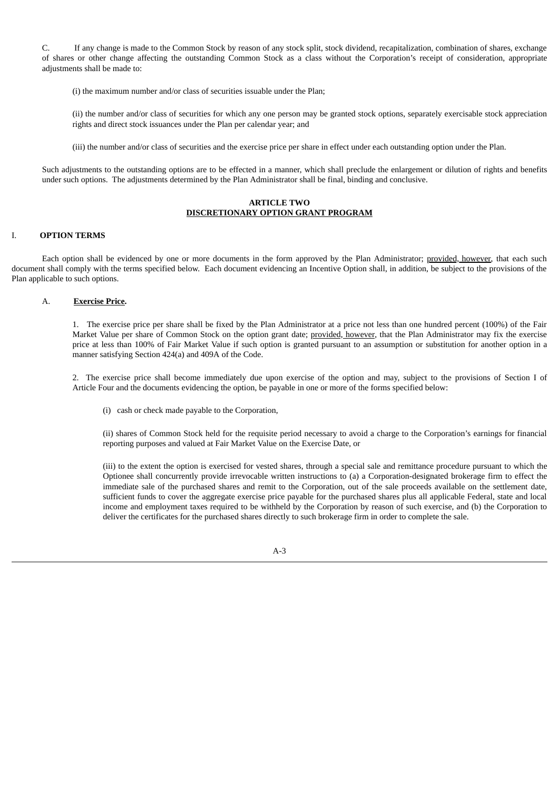C. If any change is made to the Common Stock by reason of any stock split, stock dividend, recapitalization, combination of shares, exchange of shares or other change affecting the outstanding Common Stock as a class without the Corporation's receipt of consideration, appropriate adjustments shall be made to:

(i) the maximum number and/or class of securities issuable under the Plan;

(ii) the number and/or class of securities for which any one person may be granted stock options, separately exercisable stock appreciation rights and direct stock issuances under the Plan per calendar year; and

(iii) the number and/or class of securities and the exercise price per share in effect under each outstanding option under the Plan.

Such adjustments to the outstanding options are to be effected in a manner, which shall preclude the enlargement or dilution of rights and benefits under such options. The adjustments determined by the Plan Administrator shall be final, binding and conclusive.

# **ARTICLE TWO DISCRETIONARY OPTION GRANT PROGRAM**

# I. **OPTION TERMS**

Each option shall be evidenced by one or more documents in the form approved by the Plan Administrator; provided, however, that each such document shall comply with the terms specified below. Each document evidencing an Incentive Option shall, in addition, be subject to the provisions of the Plan applicable to such options.

#### A. **Exercise Price.**

1. The exercise price per share shall be fixed by the Plan Administrator at a price not less than one hundred percent (100%) of the Fair Market Value per share of Common Stock on the option grant date; provided, however, that the Plan Administrator may fix the exercise price at less than 100% of Fair Market Value if such option is granted pursuant to an assumption or substitution for another option in a manner satisfying Section 424(a) and 409A of the Code.

2. The exercise price shall become immediately due upon exercise of the option and may, subject to the provisions of Section I of Article Four and the documents evidencing the option, be payable in one or more of the forms specified below:

(i) cash or check made payable to the Corporation,

(ii) shares of Common Stock held for the requisite period necessary to avoid a charge to the Corporation's earnings for financial reporting purposes and valued at Fair Market Value on the Exercise Date, or

(iii) to the extent the option is exercised for vested shares, through a special sale and remittance procedure pursuant to which the Optionee shall concurrently provide irrevocable written instructions to (a) a Corporation-designated brokerage firm to effect the immediate sale of the purchased shares and remit to the Corporation, out of the sale proceeds available on the settlement date, sufficient funds to cover the aggregate exercise price payable for the purchased shares plus all applicable Federal, state and local income and employment taxes required to be withheld by the Corporation by reason of such exercise, and (b) the Corporation to deliver the certificates for the purchased shares directly to such brokerage firm in order to complete the sale.

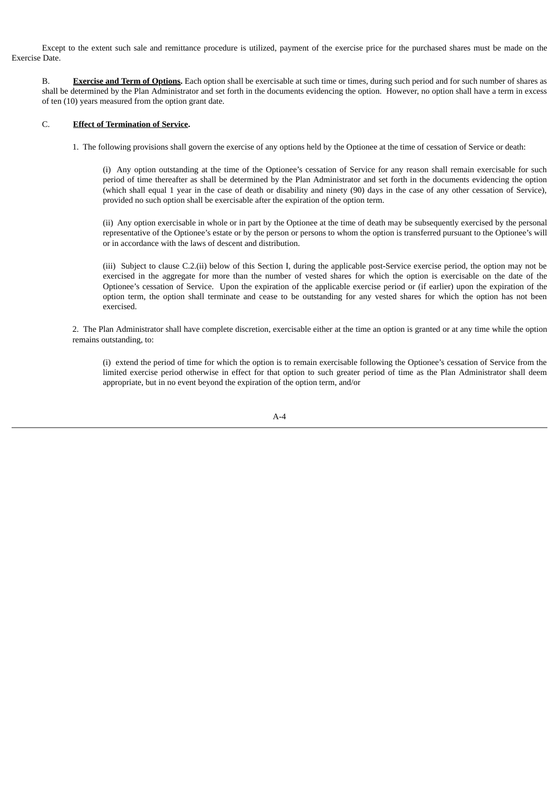Except to the extent such sale and remittance procedure is utilized, payment of the exercise price for the purchased shares must be made on the Exercise Date.

B. **Exercise and Term of Options.** Each option shall be exercisable at such time or times, during such period and for such number of shares as shall be determined by the Plan Administrator and set forth in the documents evidencing the option. However, no option shall have a term in excess of ten (10) years measured from the option grant date.

### C. **Effect of Termination of Service.**

1. The following provisions shall govern the exercise of any options held by the Optionee at the time of cessation of Service or death:

(i) Any option outstanding at the time of the Optionee's cessation of Service for any reason shall remain exercisable for such period of time thereafter as shall be determined by the Plan Administrator and set forth in the documents evidencing the option (which shall equal 1 year in the case of death or disability and ninety (90) days in the case of any other cessation of Service), provided no such option shall be exercisable after the expiration of the option term.

(ii) Any option exercisable in whole or in part by the Optionee at the time of death may be subsequently exercised by the personal representative of the Optionee's estate or by the person or persons to whom the option is transferred pursuant to the Optionee's will or in accordance with the laws of descent and distribution.

(iii) Subject to clause C.2.(ii) below of this Section I, during the applicable post-Service exercise period, the option may not be exercised in the aggregate for more than the number of vested shares for which the option is exercisable on the date of the Optionee's cessation of Service. Upon the expiration of the applicable exercise period or (if earlier) upon the expiration of the option term, the option shall terminate and cease to be outstanding for any vested shares for which the option has not been exercised.

2. The Plan Administrator shall have complete discretion, exercisable either at the time an option is granted or at any time while the option remains outstanding, to:

(i) extend the period of time for which the option is to remain exercisable following the Optionee's cessation of Service from the limited exercise period otherwise in effect for that option to such greater period of time as the Plan Administrator shall deem appropriate, but in no event beyond the expiration of the option term, and/or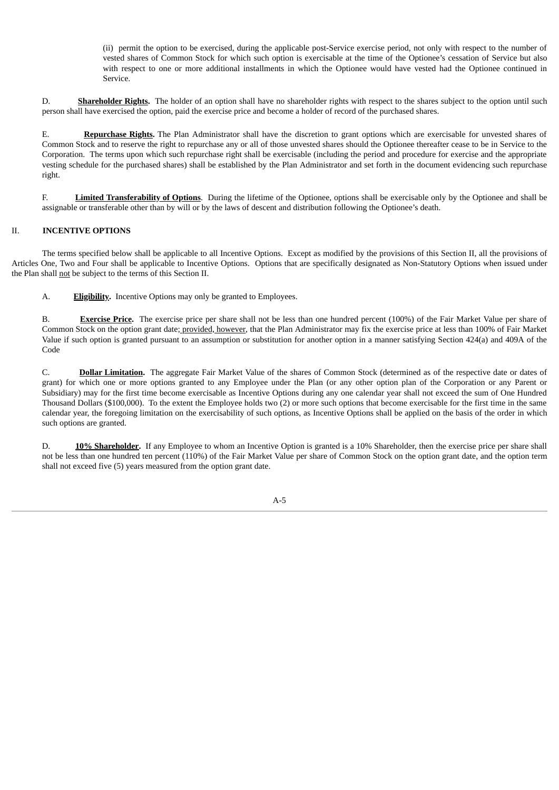(ii) permit the option to be exercised, during the applicable post-Service exercise period, not only with respect to the number of vested shares of Common Stock for which such option is exercisable at the time of the Optionee's cessation of Service but also with respect to one or more additional installments in which the Optionee would have vested had the Optionee continued in Service.

D. **Shareholder Rights.** The holder of an option shall have no shareholder rights with respect to the shares subject to the option until such person shall have exercised the option, paid the exercise price and become a holder of record of the purchased shares.

E. **Repurchase Rights.** The Plan Administrator shall have the discretion to grant options which are exercisable for unvested shares of Common Stock and to reserve the right to repurchase any or all of those unvested shares should the Optionee thereafter cease to be in Service to the Corporation. The terms upon which such repurchase right shall be exercisable (including the period and procedure for exercise and the appropriate vesting schedule for the purchased shares) shall be established by the Plan Administrator and set forth in the document evidencing such repurchase right.

F. **Limited Transferability of Options**. During the lifetime of the Optionee, options shall be exercisable only by the Optionee and shall be assignable or transferable other than by will or by the laws of descent and distribution following the Optionee's death.

# II. **INCENTIVE OPTIONS**

The terms specified below shall be applicable to all Incentive Options. Except as modified by the provisions of this Section II, all the provisions of Articles One, Two and Four shall be applicable to Incentive Options. Options that are specifically designated as Non-Statutory Options when issued under the Plan shall not be subject to the terms of this Section II.

A. **Eligibility.** Incentive Options may only be granted to Employees.

B. **Exercise Price.** The exercise price per share shall not be less than one hundred percent (100%) of the Fair Market Value per share of Common Stock on the option grant date; provided, however, that the Plan Administrator may fix the exercise price at less than 100% of Fair Market Value if such option is granted pursuant to an assumption or substitution for another option in a manner satisfying Section 424(a) and 409A of the Code

C. **Dollar Limitation.** The aggregate Fair Market Value of the shares of Common Stock (determined as of the respective date or dates of grant) for which one or more options granted to any Employee under the Plan (or any other option plan of the Corporation or any Parent or Subsidiary) may for the first time become exercisable as Incentive Options during any one calendar year shall not exceed the sum of One Hundred Thousand Dollars (\$100,000). To the extent the Employee holds two (2) or more such options that become exercisable for the first time in the same calendar year, the foregoing limitation on the exercisability of such options, as Incentive Options shall be applied on the basis of the order in which such options are granted.

D. **10% Shareholder.** If any Employee to whom an Incentive Option is granted is a 10% Shareholder, then the exercise price per share shall not be less than one hundred ten percent (110%) of the Fair Market Value per share of Common Stock on the option grant date, and the option term shall not exceed five (5) years measured from the option grant date.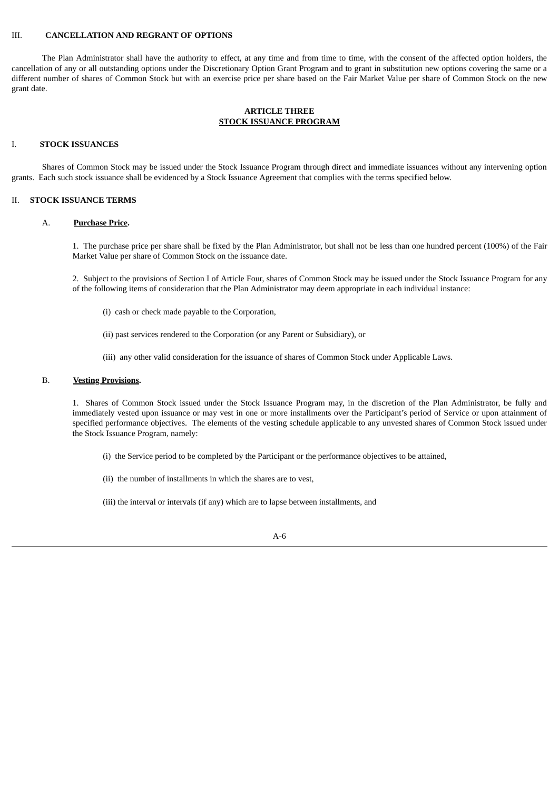# III. **CANCELLATION AND REGRANT OF OPTIONS**

The Plan Administrator shall have the authority to effect, at any time and from time to time, with the consent of the affected option holders, the cancellation of any or all outstanding options under the Discretionary Option Grant Program and to grant in substitution new options covering the same or a different number of shares of Common Stock but with an exercise price per share based on the Fair Market Value per share of Common Stock on the new grant date.

# **ARTICLE THREE STOCK ISSUANCE PROGRAM**

#### I. **STOCK ISSUANCES**

Shares of Common Stock may be issued under the Stock Issuance Program through direct and immediate issuances without any intervening option grants. Each such stock issuance shall be evidenced by a Stock Issuance Agreement that complies with the terms specified below.

# II. **STOCK ISSUANCE TERMS**

#### A. **Purchase Price.**

1. The purchase price per share shall be fixed by the Plan Administrator, but shall not be less than one hundred percent (100%) of the Fair Market Value per share of Common Stock on the issuance date.

2. Subject to the provisions of Section I of Article Four, shares of Common Stock may be issued under the Stock Issuance Program for any of the following items of consideration that the Plan Administrator may deem appropriate in each individual instance:

- (i) cash or check made payable to the Corporation,
- (ii) past services rendered to the Corporation (or any Parent or Subsidiary), or
- (iii) any other valid consideration for the issuance of shares of Common Stock under Applicable Laws.

#### B. **Vesting Provisions.**

1. Shares of Common Stock issued under the Stock Issuance Program may, in the discretion of the Plan Administrator, be fully and immediately vested upon issuance or may vest in one or more installments over the Participant's period of Service or upon attainment of specified performance objectives. The elements of the vesting schedule applicable to any unvested shares of Common Stock issued under the Stock Issuance Program, namely:

- (i) the Service period to be completed by the Participant or the performance objectives to be attained,
- (ii) the number of installments in which the shares are to vest,
- (iii) the interval or intervals (if any) which are to lapse between installments, and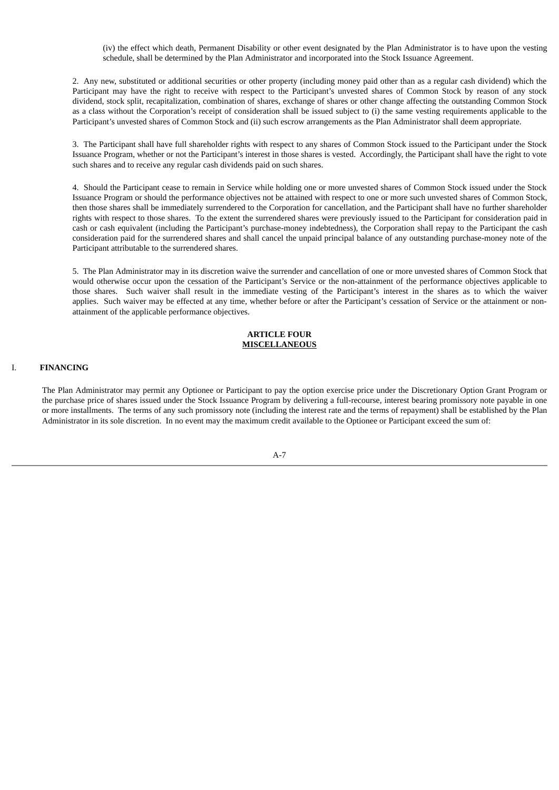(iv) the effect which death, Permanent Disability or other event designated by the Plan Administrator is to have upon the vesting schedule, shall be determined by the Plan Administrator and incorporated into the Stock Issuance Agreement.

2. Any new, substituted or additional securities or other property (including money paid other than as a regular cash dividend) which the Participant may have the right to receive with respect to the Participant's unvested shares of Common Stock by reason of any stock dividend, stock split, recapitalization, combination of shares, exchange of shares or other change affecting the outstanding Common Stock as a class without the Corporation's receipt of consideration shall be issued subject to (i) the same vesting requirements applicable to the Participant's unvested shares of Common Stock and (ii) such escrow arrangements as the Plan Administrator shall deem appropriate.

3. The Participant shall have full shareholder rights with respect to any shares of Common Stock issued to the Participant under the Stock Issuance Program, whether or not the Participant's interest in those shares is vested. Accordingly, the Participant shall have the right to vote such shares and to receive any regular cash dividends paid on such shares.

4. Should the Participant cease to remain in Service while holding one or more unvested shares of Common Stock issued under the Stock Issuance Program or should the performance objectives not be attained with respect to one or more such unvested shares of Common Stock, then those shares shall be immediately surrendered to the Corporation for cancellation, and the Participant shall have no further shareholder rights with respect to those shares. To the extent the surrendered shares were previously issued to the Participant for consideration paid in cash or cash equivalent (including the Participant's purchase-money indebtedness), the Corporation shall repay to the Participant the cash consideration paid for the surrendered shares and shall cancel the unpaid principal balance of any outstanding purchase-money note of the Participant attributable to the surrendered shares.

5. The Plan Administrator may in its discretion waive the surrender and cancellation of one or more unvested shares of Common Stock that would otherwise occur upon the cessation of the Participant's Service or the non-attainment of the performance objectives applicable to those shares. Such waiver shall result in the immediate vesting of the Participant's interest in the shares as to which the waiver applies. Such waiver may be effected at any time, whether before or after the Participant's cessation of Service or the attainment or nonattainment of the applicable performance objectives.

#### **ARTICLE FOUR MISCELLANEOUS**

# I. **FINANCING**

The Plan Administrator may permit any Optionee or Participant to pay the option exercise price under the Discretionary Option Grant Program or the purchase price of shares issued under the Stock Issuance Program by delivering a full-recourse, interest bearing promissory note payable in one or more installments. The terms of any such promissory note (including the interest rate and the terms of repayment) shall be established by the Plan Administrator in its sole discretion. In no event may the maximum credit available to the Optionee or Participant exceed the sum of: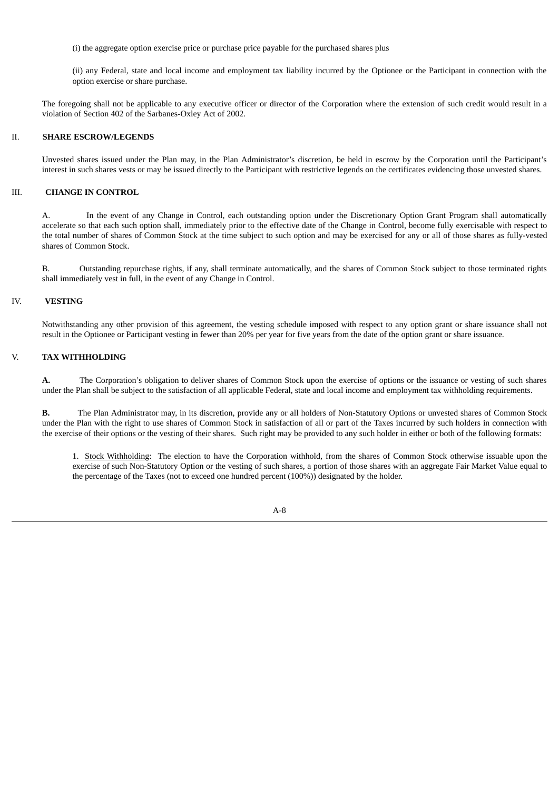(i) the aggregate option exercise price or purchase price payable for the purchased shares plus

(ii) any Federal, state and local income and employment tax liability incurred by the Optionee or the Participant in connection with the option exercise or share purchase.

The foregoing shall not be applicable to any executive officer or director of the Corporation where the extension of such credit would result in a violation of Section 402 of the Sarbanes-Oxley Act of 2002.

#### II. **SHARE ESCROW/LEGENDS**

Unvested shares issued under the Plan may, in the Plan Administrator's discretion, be held in escrow by the Corporation until the Participant's interest in such shares vests or may be issued directly to the Participant with restrictive legends on the certificates evidencing those unvested shares.

# III. **CHANGE IN CONTROL**

A. In the event of any Change in Control, each outstanding option under the Discretionary Option Grant Program shall automatically accelerate so that each such option shall, immediately prior to the effective date of the Change in Control, become fully exercisable with respect to the total number of shares of Common Stock at the time subject to such option and may be exercised for any or all of those shares as fully-vested shares of Common Stock.

B. Outstanding repurchase rights, if any, shall terminate automatically, and the shares of Common Stock subject to those terminated rights shall immediately vest in full, in the event of any Change in Control.

#### IV. **VESTING**

Notwithstanding any other provision of this agreement, the vesting schedule imposed with respect to any option grant or share issuance shall not result in the Optionee or Participant vesting in fewer than 20% per year for five years from the date of the option grant or share issuance.

#### V. **TAX WITHHOLDING**

**A.** The Corporation's obligation to deliver shares of Common Stock upon the exercise of options or the issuance or vesting of such shares under the Plan shall be subject to the satisfaction of all applicable Federal, state and local income and employment tax withholding requirements.

**B.** The Plan Administrator may, in its discretion, provide any or all holders of Non-Statutory Options or unvested shares of Common Stock under the Plan with the right to use shares of Common Stock in satisfaction of all or part of the Taxes incurred by such holders in connection with the exercise of their options or the vesting of their shares. Such right may be provided to any such holder in either or both of the following formats:

1. Stock Withholding: The election to have the Corporation withhold, from the shares of Common Stock otherwise issuable upon the exercise of such Non-Statutory Option or the vesting of such shares, a portion of those shares with an aggregate Fair Market Value equal to the percentage of the Taxes (not to exceed one hundred percent (100%)) designated by the holder.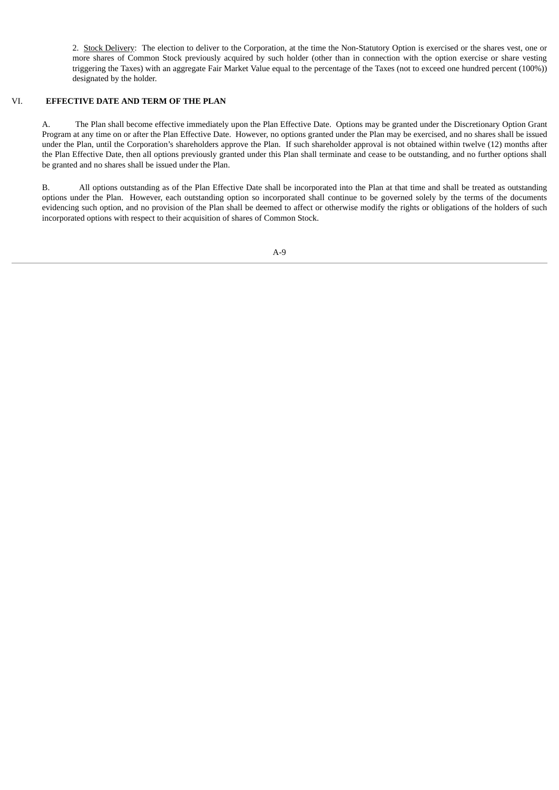2. Stock Delivery: The election to deliver to the Corporation, at the time the Non-Statutory Option is exercised or the shares vest, one or more shares of Common Stock previously acquired by such holder (other than in connection with the option exercise or share vesting triggering the Taxes) with an aggregate Fair Market Value equal to the percentage of the Taxes (not to exceed one hundred percent (100%)) designated by the holder.

# VI. **EFFECTIVE DATE AND TERM OF THE PLAN**

A. The Plan shall become effective immediately upon the Plan Effective Date. Options may be granted under the Discretionary Option Grant Program at any time on or after the Plan Effective Date. However, no options granted under the Plan may be exercised, and no shares shall be issued under the Plan, until the Corporation's shareholders approve the Plan. If such shareholder approval is not obtained within twelve (12) months after the Plan Effective Date, then all options previously granted under this Plan shall terminate and cease to be outstanding, and no further options shall be granted and no shares shall be issued under the Plan.

B. All options outstanding as of the Plan Effective Date shall be incorporated into the Plan at that time and shall be treated as outstanding options under the Plan. However, each outstanding option so incorporated shall continue to be governed solely by the terms of the documents evidencing such option, and no provision of the Plan shall be deemed to affect or otherwise modify the rights or obligations of the holders of such incorporated options with respect to their acquisition of shares of Common Stock.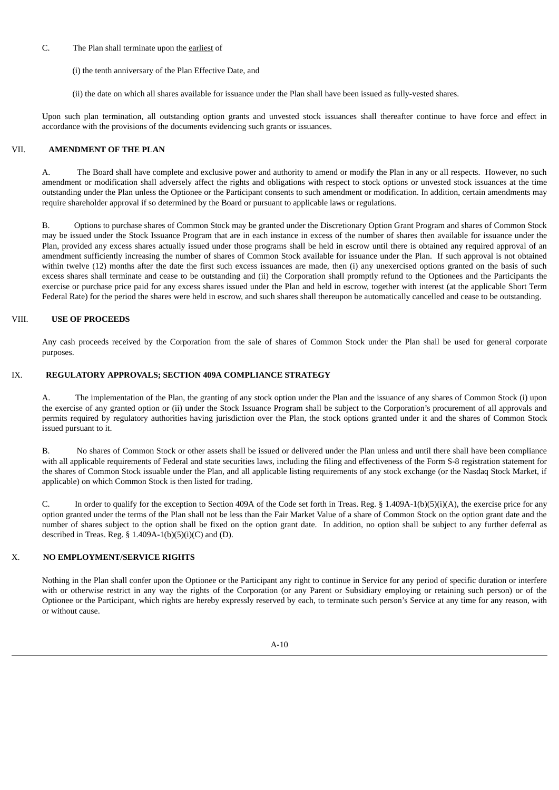# C. The Plan shall terminate upon the earliest of

- (i) the tenth anniversary of the Plan Effective Date, and
- (ii) the date on which all shares available for issuance under the Plan shall have been issued as fully-vested shares.

Upon such plan termination, all outstanding option grants and unvested stock issuances shall thereafter continue to have force and effect in accordance with the provisions of the documents evidencing such grants or issuances.

# VII. **AMENDMENT OF THE PLAN**

A. The Board shall have complete and exclusive power and authority to amend or modify the Plan in any or all respects. However, no such amendment or modification shall adversely affect the rights and obligations with respect to stock options or unvested stock issuances at the time outstanding under the Plan unless the Optionee or the Participant consents to such amendment or modification. In addition, certain amendments may require shareholder approval if so determined by the Board or pursuant to applicable laws or regulations.

B. Options to purchase shares of Common Stock may be granted under the Discretionary Option Grant Program and shares of Common Stock may be issued under the Stock Issuance Program that are in each instance in excess of the number of shares then available for issuance under the Plan, provided any excess shares actually issued under those programs shall be held in escrow until there is obtained any required approval of an amendment sufficiently increasing the number of shares of Common Stock available for issuance under the Plan. If such approval is not obtained within twelve (12) months after the date the first such excess issuances are made, then (i) any unexercised options granted on the basis of such excess shares shall terminate and cease to be outstanding and (ii) the Corporation shall promptly refund to the Optionees and the Participants the exercise or purchase price paid for any excess shares issued under the Plan and held in escrow, together with interest (at the applicable Short Term Federal Rate) for the period the shares were held in escrow, and such shares shall thereupon be automatically cancelled and cease to be outstanding.

# VIII. **USE OF PROCEEDS**

Any cash proceeds received by the Corporation from the sale of shares of Common Stock under the Plan shall be used for general corporate purposes.

# IX. **REGULATORY APPROVALS; SECTION 409A COMPLIANCE STRATEGY**

A. The implementation of the Plan, the granting of any stock option under the Plan and the issuance of any shares of Common Stock (i) upon the exercise of any granted option or (ii) under the Stock Issuance Program shall be subject to the Corporation's procurement of all approvals and permits required by regulatory authorities having jurisdiction over the Plan, the stock options granted under it and the shares of Common Stock issued pursuant to it.

B. No shares of Common Stock or other assets shall be issued or delivered under the Plan unless and until there shall have been compliance with all applicable requirements of Federal and state securities laws, including the filing and effectiveness of the Form S-8 registration statement for the shares of Common Stock issuable under the Plan, and all applicable listing requirements of any stock exchange (or the Nasdaq Stock Market, if applicable) on which Common Stock is then listed for trading.

C. In order to qualify for the exception to Section 409A of the Code set forth in Treas. Reg. § 1.409A-1(b)(5)(i)(A), the exercise price for any option granted under the terms of the Plan shall not be less than the Fair Market Value of a share of Common Stock on the option grant date and the number of shares subject to the option shall be fixed on the option grant date. In addition, no option shall be subject to any further deferral as described in Treas. Reg. §  $1.409A-1(b)(5)(i)(C)$  and (D).

# X. **NO EMPLOYMENT/SERVICE RIGHTS**

Nothing in the Plan shall confer upon the Optionee or the Participant any right to continue in Service for any period of specific duration or interfere with or otherwise restrict in any way the rights of the Corporation (or any Parent or Subsidiary employing or retaining such person) or of the Optionee or the Participant, which rights are hereby expressly reserved by each, to terminate such person's Service at any time for any reason, with or without cause.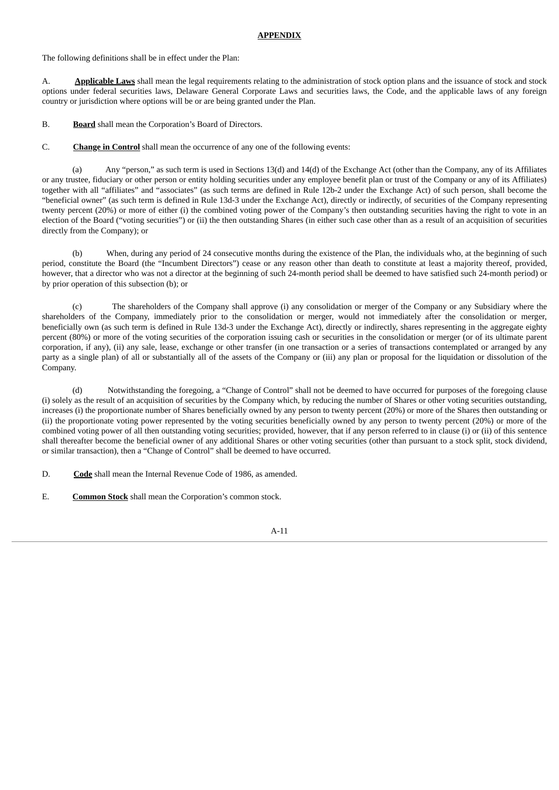#### **APPENDIX**

The following definitions shall be in effect under the Plan:

A. **Applicable Laws** shall mean the legal requirements relating to the administration of stock option plans and the issuance of stock and stock options under federal securities laws, Delaware General Corporate Laws and securities laws, the Code, and the applicable laws of any foreign country or jurisdiction where options will be or are being granted under the Plan.

B. **Board** shall mean the Corporation's Board of Directors.

#### C. **Change in Control** shall mean the occurrence of any one of the following events:

(a) Any "person," as such term is used in Sections 13(d) and 14(d) of the Exchange Act (other than the Company, any of its Affiliates or any trustee, fiduciary or other person or entity holding securities under any employee benefit plan or trust of the Company or any of its Affiliates) together with all "affiliates" and "associates" (as such terms are defined in Rule 12b-2 under the Exchange Act) of such person, shall become the "beneficial owner" (as such term is defined in Rule 13d-3 under the Exchange Act), directly or indirectly, of securities of the Company representing twenty percent (20%) or more of either (i) the combined voting power of the Company's then outstanding securities having the right to vote in an election of the Board ("voting securities") or (ii) the then outstanding Shares (in either such case other than as a result of an acquisition of securities directly from the Company); or

(b) When, during any period of 24 consecutive months during the existence of the Plan, the individuals who, at the beginning of such period, constitute the Board (the "Incumbent Directors") cease or any reason other than death to constitute at least a majority thereof, provided, however, that a director who was not a director at the beginning of such 24-month period shall be deemed to have satisfied such 24-month period) or by prior operation of this subsection (b); or

(c) The shareholders of the Company shall approve (i) any consolidation or merger of the Company or any Subsidiary where the shareholders of the Company, immediately prior to the consolidation or merger, would not immediately after the consolidation or merger, beneficially own (as such term is defined in Rule 13d-3 under the Exchange Act), directly or indirectly, shares representing in the aggregate eighty percent (80%) or more of the voting securities of the corporation issuing cash or securities in the consolidation or merger (or of its ultimate parent corporation, if any), (ii) any sale, lease, exchange or other transfer (in one transaction or a series of transactions contemplated or arranged by any party as a single plan) of all or substantially all of the assets of the Company or (iii) any plan or proposal for the liquidation or dissolution of the Company.

(d) Notwithstanding the foregoing, a "Change of Control" shall not be deemed to have occurred for purposes of the foregoing clause (i) solely as the result of an acquisition of securities by the Company which, by reducing the number of Shares or other voting securities outstanding, increases (i) the proportionate number of Shares beneficially owned by any person to twenty percent (20%) or more of the Shares then outstanding or (ii) the proportionate voting power represented by the voting securities beneficially owned by any person to twenty percent (20%) or more of the combined voting power of all then outstanding voting securities; provided, however, that if any person referred to in clause (i) or (ii) of this sentence shall thereafter become the beneficial owner of any additional Shares or other voting securities (other than pursuant to a stock split, stock dividend, or similar transaction), then a "Change of Control" shall be deemed to have occurred.

D. **Code** shall mean the Internal Revenue Code of 1986, as amended.

E. **Common Stock** shall mean the Corporation's common stock.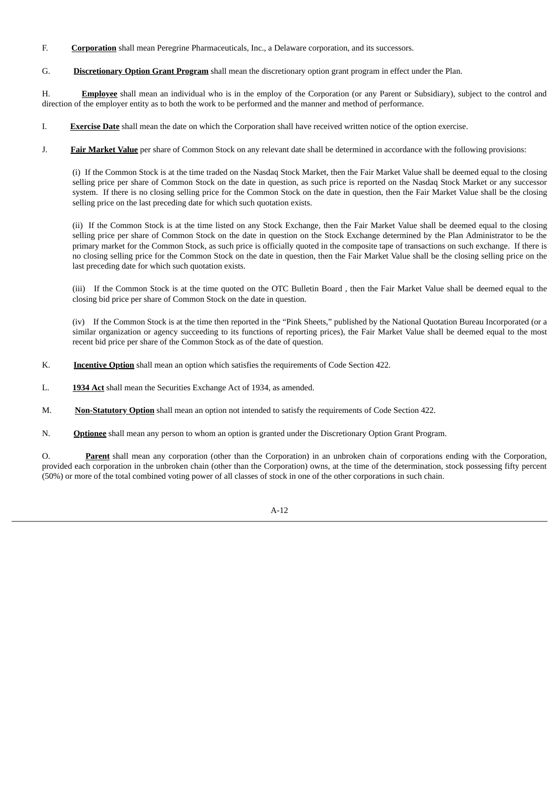- F. **Corporation** shall mean Peregrine Pharmaceuticals, Inc., a Delaware corporation, and its successors.
- G. **Discretionary Option Grant Program** shall mean the discretionary option grant program in effect under the Plan.

H. **Employee** shall mean an individual who is in the employ of the Corporation (or any Parent or Subsidiary), subject to the control and direction of the employer entity as to both the work to be performed and the manner and method of performance.

- I. **Exercise Date** shall mean the date on which the Corporation shall have received written notice of the option exercise.
- J. **Fair Market Value** per share of Common Stock on any relevant date shall be determined in accordance with the following provisions:

(i) If the Common Stock is at the time traded on the Nasdaq Stock Market, then the Fair Market Value shall be deemed equal to the closing selling price per share of Common Stock on the date in question, as such price is reported on the Nasdaq Stock Market or any successor system. If there is no closing selling price for the Common Stock on the date in question, then the Fair Market Value shall be the closing selling price on the last preceding date for which such quotation exists.

(ii) If the Common Stock is at the time listed on any Stock Exchange, then the Fair Market Value shall be deemed equal to the closing selling price per share of Common Stock on the date in question on the Stock Exchange determined by the Plan Administrator to be the primary market for the Common Stock, as such price is officially quoted in the composite tape of transactions on such exchange. If there is no closing selling price for the Common Stock on the date in question, then the Fair Market Value shall be the closing selling price on the last preceding date for which such quotation exists.

(iii) If the Common Stock is at the time quoted on the OTC Bulletin Board , then the Fair Market Value shall be deemed equal to the closing bid price per share of Common Stock on the date in question.

(iv) If the Common Stock is at the time then reported in the "Pink Sheets," published by the National Quotation Bureau Incorporated (or a similar organization or agency succeeding to its functions of reporting prices), the Fair Market Value shall be deemed equal to the most recent bid price per share of the Common Stock as of the date of question.

- K. **Incentive Option** shall mean an option which satisfies the requirements of Code Section 422.
- L. **1934 Act** shall mean the Securities Exchange Act of 1934, as amended.
- M. **Non-Statutory Option** shall mean an option not intended to satisfy the requirements of Code Section 422.
- N. **Optionee** shall mean any person to whom an option is granted under the Discretionary Option Grant Program.

O. **Parent** shall mean any corporation (other than the Corporation) in an unbroken chain of corporations ending with the Corporation, provided each corporation in the unbroken chain (other than the Corporation) owns, at the time of the determination, stock possessing fifty percent (50%) or more of the total combined voting power of all classes of stock in one of the other corporations in such chain.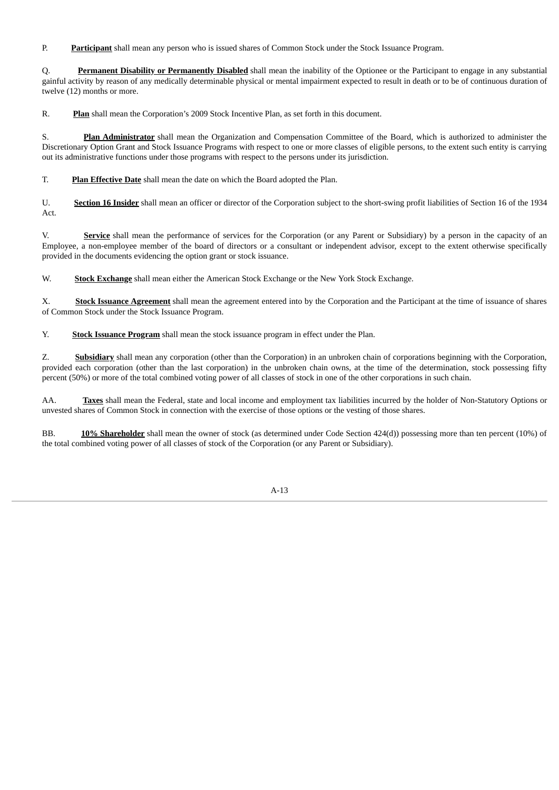P. **Participant** shall mean any person who is issued shares of Common Stock under the Stock Issuance Program.

Q. **Permanent Disability or Permanently Disabled** shall mean the inability of the Optionee or the Participant to engage in any substantial gainful activity by reason of any medically determinable physical or mental impairment expected to result in death or to be of continuous duration of twelve (12) months or more.

R. **Plan** shall mean the Corporation's 2009 Stock Incentive Plan, as set forth in this document.

S. **Plan Administrator** shall mean the Organization and Compensation Committee of the Board, which is authorized to administer the Discretionary Option Grant and Stock Issuance Programs with respect to one or more classes of eligible persons, to the extent such entity is carrying out its administrative functions under those programs with respect to the persons under its jurisdiction.

T. **Plan Effective Date** shall mean the date on which the Board adopted the Plan.

U. **Section 16 Insider** shall mean an officer or director of the Corporation subject to the short-swing profit liabilities of Section 16 of the 1934 Act.

V. **Service** shall mean the performance of services for the Corporation (or any Parent or Subsidiary) by a person in the capacity of an Employee, a non-employee member of the board of directors or a consultant or independent advisor, except to the extent otherwise specifically provided in the documents evidencing the option grant or stock issuance.

W. **Stock Exchange** shall mean either the American Stock Exchange or the New York Stock Exchange.

X. **Stock Issuance Agreement** shall mean the agreement entered into by the Corporation and the Participant at the time of issuance of shares of Common Stock under the Stock Issuance Program.

Y. **Stock Issuance Program** shall mean the stock issuance program in effect under the Plan.

Z. **Subsidiary** shall mean any corporation (other than the Corporation) in an unbroken chain of corporations beginning with the Corporation, provided each corporation (other than the last corporation) in the unbroken chain owns, at the time of the determination, stock possessing fifty percent (50%) or more of the total combined voting power of all classes of stock in one of the other corporations in such chain.

AA. **Taxes** shall mean the Federal, state and local income and employment tax liabilities incurred by the holder of Non-Statutory Options or unvested shares of Common Stock in connection with the exercise of those options or the vesting of those shares.

BB. **10% Shareholder** shall mean the owner of stock (as determined under Code Section 424(d)) possessing more than ten percent (10%) of the total combined voting power of all classes of stock of the Corporation (or any Parent or Subsidiary).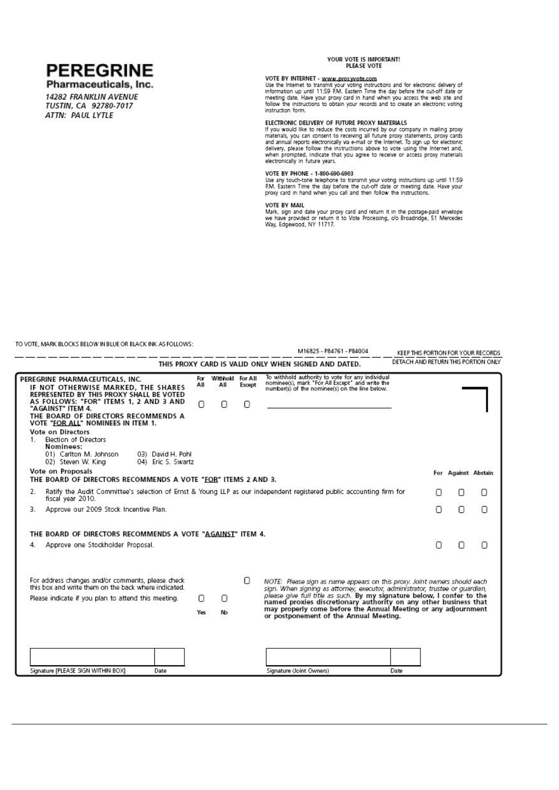

Pharmaceuticals, Inc.

14282 FRANKLIN AVENUE TUSTIN, CA 92780-7017 ATTN: PAUL LYTLE

#### YOUR VOTE IS IMPORTANT! PLEASE VOTE

VOTE BY INTERNET - www.proxyvote.com<br>Use the Internet to transmit your voting instructions and for electronic delivery of<br>Information up until 11:59 P.M. Eastern Time the day before the cut-off date or<br>meeting date. Have y instruction form.

ELECTRONIC DELIVERY OF FUTURE PROXY MATERIALS<br>If you would like to reduce the costs incurred by our company in mailing proxy<br>materials, you can consent to receiving all future proxy statements, proxy cards<br>and annual repor

#### VOTE BY PHONE - 1-800-690-6903

Figure is a provided to the propose of the US and the USB and the USB and the USB and the PRICE P.M. Eastern Time the day before the cut-off date or meeting date. Have your proxy card in hand when you call and then follow

VOTE BY MAIL<br>Mark, sign and date your proxy card and return it in the postage-paid envelope<br>we have provided or return it to Vote Processing, of Broadridge, 51 Mercedes<br>Way, Edgewood, NY 11717.

TO VOTE, MARK BLOCKS BELOW IN BLUE OR BLACK INK AS FOLLOWS:

|       |                                                                                                                                                                                                                                                                                                                                                                                                                      |                 |                              |             | M16825 - P84761 - P84004                                                                                                                                   |   |                     | KEEP THIS PORTION FOR YOUR RECORDS  |
|-------|----------------------------------------------------------------------------------------------------------------------------------------------------------------------------------------------------------------------------------------------------------------------------------------------------------------------------------------------------------------------------------------------------------------------|-----------------|------------------------------|-------------|------------------------------------------------------------------------------------------------------------------------------------------------------------|---|---------------------|-------------------------------------|
|       |                                                                                                                                                                                                                                                                                                                                                                                                                      |                 |                              |             | THIS PROXY CARD IS VALID ONLY WHEN SIGNED AND DATED.                                                                                                       |   |                     | DETACH AND RETURN THIS PORTION ONLY |
| $1$ . | PEREGRINE PHARMACEUTICALS, INC.<br>IF NOT OTHERWISE MARKED, THE SHARES<br>REPRESENTED BY THIS PROXY SHALL BE VOTED<br>AS FOLLOWS: "FOR" ITEMS 1, 2 AND 3 AND<br>"AGAINST" ITEM 4.<br>THE BOARD OF DIRECTORS RECOMMENDS A<br>VOTE "FOR ALL" NOMINEES IN ITEM 1.<br>Vote on Directors<br>Election of Directors<br>Nominees:<br>01) Carlton M. Johnson<br>03) David H, Pohl<br>02) Steven W. Kina<br>04) Eric S. Swartz | For<br>All<br>0 | Withhold For All<br>All<br>0 | Except<br>Ω | To withhold authority to vote for any individual<br>nominee(s), mark "For All Except" and write the<br>number(s) of the nominee(s) on the line below.      |   |                     |                                     |
|       | Vote on Proposals<br>THE BOARD OF DIRECTORS RECOMMENDS A VOTE "FOR" ITEMS 2 AND 3.                                                                                                                                                                                                                                                                                                                                   |                 |                              |             |                                                                                                                                                            |   | For Against Abstain |                                     |
| 2.    | Ratify the Audit Committee's selection of Ernst & Young LLP as our independent registered public accounting firm for<br>fiscal year 2010.                                                                                                                                                                                                                                                                            |                 |                              |             |                                                                                                                                                            | п | Ω                   | 0                                   |
| З.    | Approve our 2009 Stock Incentive Plan.                                                                                                                                                                                                                                                                                                                                                                               |                 |                              |             |                                                                                                                                                            | Π | Ο                   | 0                                   |
|       | THE BOARD OF DIRECTORS RECOMMENDS A VOTE "AGAINST" ITEM 4.                                                                                                                                                                                                                                                                                                                                                           |                 |                              |             |                                                                                                                                                            |   |                     |                                     |
| 4.    | Approve one Stockholder Proposal.                                                                                                                                                                                                                                                                                                                                                                                    |                 |                              |             |                                                                                                                                                            | n | Ω                   | Π                                   |
|       | For address changes and/or comments, please check<br>this box and write them on the back where indicated.                                                                                                                                                                                                                                                                                                            |                 |                              | 0           | NOTE: Please sign as name appears on this proxy. Joint owners should each<br>sign. When signing as attorney, executor, administrator, trustee or guardian, |   |                     |                                     |
|       | Please indicate if you plan to attend this meeting.                                                                                                                                                                                                                                                                                                                                                                  | Π               | Ω                            |             | please give full title as such. By my signature below, I confer to the<br>named proxies discretionary authority on any other business that                 |   |                     |                                     |
|       |                                                                                                                                                                                                                                                                                                                                                                                                                      | Yes             | No                           |             | may properly come before the Annual Meeting or any adjournment<br>or postponement of the Annual Meeting.                                                   |   |                     |                                     |
|       |                                                                                                                                                                                                                                                                                                                                                                                                                      |                 |                              |             |                                                                                                                                                            |   |                     |                                     |
|       | Signature [PLEASE SIGN WITHIN BOX]<br>Date                                                                                                                                                                                                                                                                                                                                                                           |                 |                              |             | Signature (Joint Owners)<br>Date                                                                                                                           |   |                     |                                     |